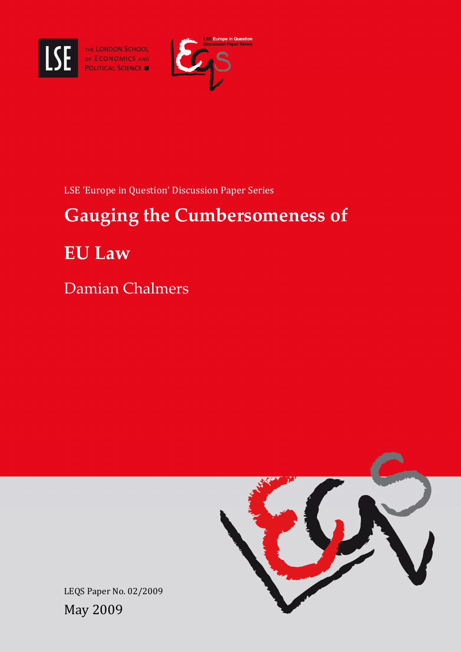

SE THE LONDON SCHOOL



LSE 'Europe in Question' Discussion Paper Series

# Gauging the Cumbersomeness of

EU Law

Damian Chalmers



LEQS Paper No. 02/2009 May 2009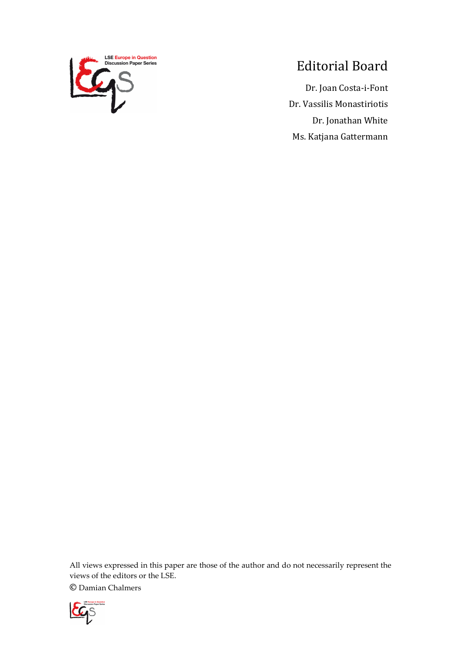

## Editorial Board

Dr. Joan Costa-i-Font Dr. Vassilis Monastiriotis Dr. Jonathan White Ms. Katjana Gattermann

All views expressed in this paper are those of the author and do not necessarily represent the views of the editors or the LSE.

© Damian Chalmers

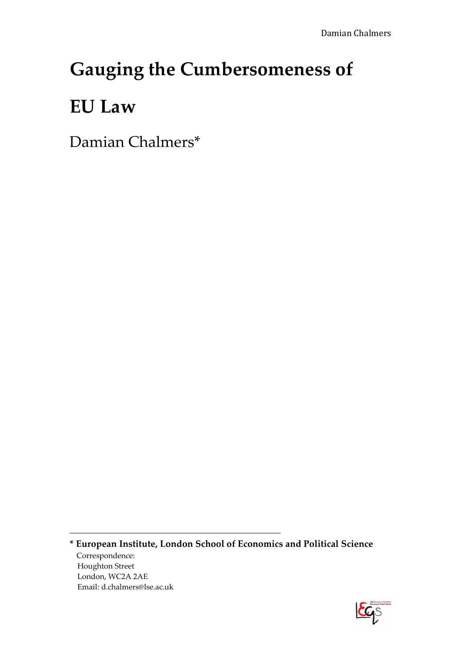## Gauging the Cumbersomeness of

## EU Law

Damian Chalmers\*

\* European Institute, London School of Economics and Political Science Correspondence: Houghton Street London, WC2A 2AE Email: d.chalmers@lse.ac.uk

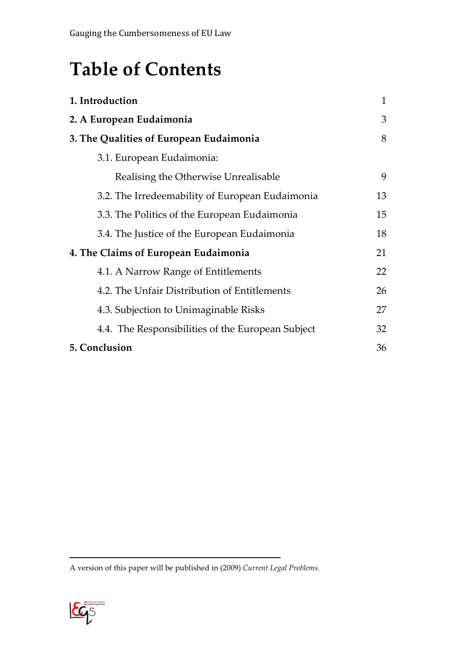## Table of Contents

| 1. Introduction                                   | $\mathbf{1}$ |
|---------------------------------------------------|--------------|
| 2. A European Eudaimonia                          | 3            |
| 3. The Qualities of European Eudaimonia           | 8            |
| 3.1. European Eudaimonia:                         |              |
| Realising the Otherwise Unrealisable              | 9            |
| 3.2. The Irredeemability of European Eudaimonia   | 13           |
| 3.3. The Politics of the European Eudaimonia      | 15           |
| 3.4. The Justice of the European Eudaimonia       | 18           |
| 4. The Claims of European Eudaimonia              | 21           |
| 4.1. A Narrow Range of Entitlements               | 22           |
| 4.2. The Unfair Distribution of Entitlements      | 26           |
| 4.3. Subjection to Unimaginable Risks             | 27           |
| 4.4. The Responsibilities of the European Subject | 32           |
| 5. Conclusion                                     | 36           |

A version of this paper will be published in (2009) Current Legal Problems.

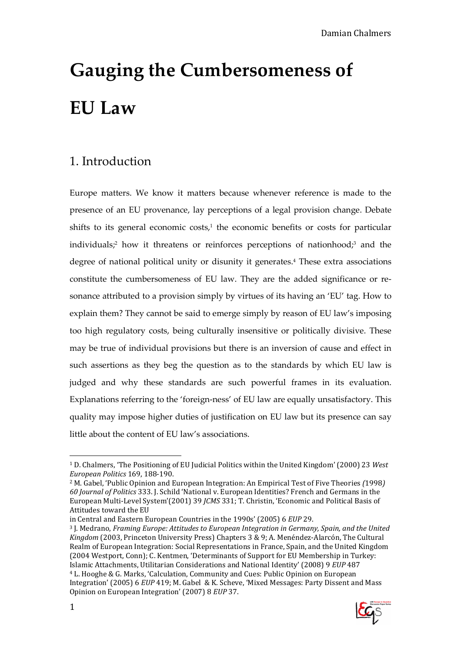## 1. Introduction

Europe matters. We know it matters because whenever reference is made to the presence of an EU provenance, lay perceptions of a legal provision change. Debate shifts to its general economic costs, $1$  the economic benefits or costs for particular individuals;<sup>2</sup> how it threatens or reinforces perceptions of nationhood;<sup>3</sup> and the degree of national political unity or disunity it generates.<sup>4</sup> These extra associations constitute the cumbersomeness of EU law. They are the added significance or resonance attributed to a provision simply by virtues of its having an 'EU' tag. How to explain them? They cannot be said to emerge simply by reason of EU law's imposing too high regulatory costs, being culturally insensitive or politically divisive. These may be true of individual provisions but there is an inversion of cause and effect in such assertions as they beg the question as to the standards by which EU law is judged and why these standards are such powerful frames in its evaluation. Explanations referring to the 'foreign-ness' of EU law are equally unsatisfactory. This quality may impose higher duties of justification on EU law but its presence can say little about the content of EU law's associations.

Integration' (2005) 6 EUP 419; M. Gabel & K. Scheve, 'Mixed Messages: Party Dissent and Mass Opinion on European Integration' (2007) 8 EUP 37.



 $\overline{a}$ <sup>1</sup> D. Chalmers, 'The Positioning of EU Judicial Politics within the United Kingdom' (2000) 23 West European Politics 169, 188-190.

<sup>2</sup> M. Gabel, 'Public Opinion and European Integration: An Empirical Test of Five Theories (1998) 60 Journal of Politics 333. J. Schild 'National v. European Identities? French and Germans in the European Multi-Level System'(2001) 39 JCMS 331; T. Christin, 'Economic and Political Basis of Attitudes toward the EU

in Central and Eastern European Countries in the 1990s' (2005) 6 EUP 29.

<sup>3</sup> J. Medrano, Framing Europe: Attitudes to European Integration in Germany, Spain, and the United Kingdom (2003, Princeton University Press) Chapters 3 & 9; A. Menéndez-Alarcón, The Cultural Realm of European Integration: Social Representations in France, Spain, and the United Kingdom (2004 Westport, Conn); C. Kentmen, 'Determinants of Support for EU Membership in Turkey: Islamic Attachments, Utilitarian Considerations and National Identity' (2008) 9 EUP 487 <sup>4</sup> L. Hooghe & G. Marks, 'Calculation, Community and Cues: Public Opinion on European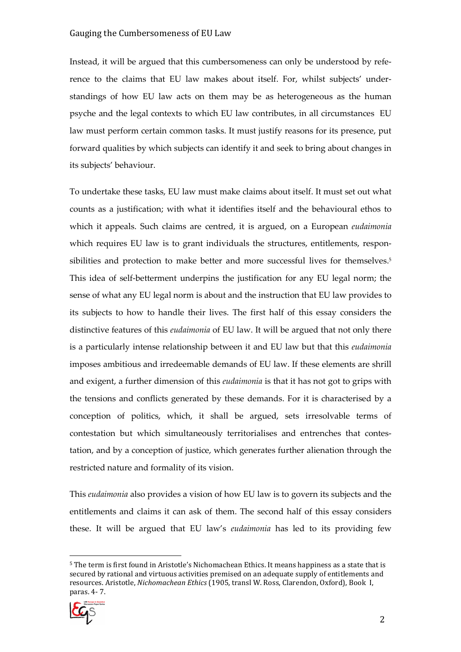Instead, it will be argued that this cumbersomeness can only be understood by reference to the claims that EU law makes about itself. For, whilst subjects' understandings of how EU law acts on them may be as heterogeneous as the human psyche and the legal contexts to which EU law contributes, in all circumstances EU law must perform certain common tasks. It must justify reasons for its presence, put forward qualities by which subjects can identify it and seek to bring about changes in its subjects' behaviour.

To undertake these tasks, EU law must make claims about itself. It must set out what counts as a justification; with what it identifies itself and the behavioural ethos to which it appeals. Such claims are centred, it is argued, on a European *eudaimonia* which requires EU law is to grant individuals the structures, entitlements, responsibilities and protection to make better and more successful lives for themselves.<sup>5</sup> This idea of self-betterment underpins the justification for any EU legal norm; the sense of what any EU legal norm is about and the instruction that EU law provides to its subjects to how to handle their lives. The first half of this essay considers the distinctive features of this eudaimonia of EU law. It will be argued that not only there is a particularly intense relationship between it and EU law but that this eudaimonia imposes ambitious and irredeemable demands of EU law. If these elements are shrill and exigent, a further dimension of this eudaimonia is that it has not got to grips with the tensions and conflicts generated by these demands. For it is characterised by a conception of politics, which, it shall be argued, sets irresolvable terms of contestation but which simultaneously territorialises and entrenches that contestation, and by a conception of justice, which generates further alienation through the restricted nature and formality of its vision.

This eudaimonia also provides a vision of how EU law is to govern its subjects and the entitlements and claims it can ask of them. The second half of this essay considers these. It will be argued that EU law's eudaimonia has led to its providing few

<sup>5</sup> The term is first found in Aristotle's Nichomachean Ethics. It means happiness as a state that is secured by rational and virtuous activities premised on an adequate supply of entitlements and resources. Aristotle, Nichomachean Ethics (1905, transl W. Ross, Clarendon, Oxford), Book I, paras. 4- 7.

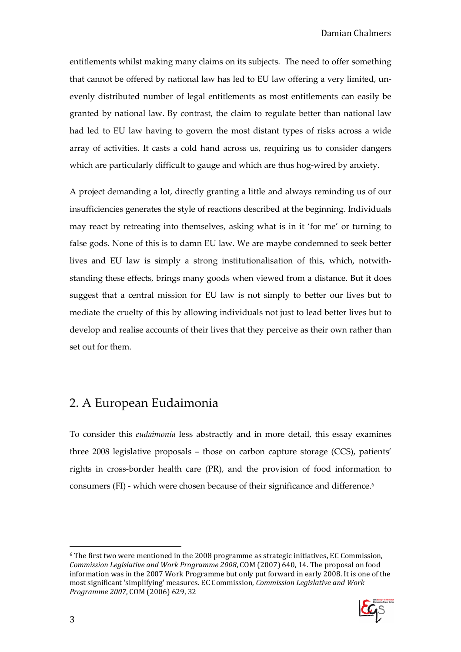entitlements whilst making many claims on its subjects. The need to offer something that cannot be offered by national law has led to EU law offering a very limited, unevenly distributed number of legal entitlements as most entitlements can easily be granted by national law. By contrast, the claim to regulate better than national law had led to EU law having to govern the most distant types of risks across a wide array of activities. It casts a cold hand across us, requiring us to consider dangers which are particularly difficult to gauge and which are thus hog-wired by anxiety.

A project demanding a lot, directly granting a little and always reminding us of our insufficiencies generates the style of reactions described at the beginning. Individuals may react by retreating into themselves, asking what is in it 'for me' or turning to false gods. None of this is to damn EU law. We are maybe condemned to seek better lives and EU law is simply a strong institutionalisation of this, which, notwithstanding these effects, brings many goods when viewed from a distance. But it does suggest that a central mission for EU law is not simply to better our lives but to mediate the cruelty of this by allowing individuals not just to lead better lives but to develop and realise accounts of their lives that they perceive as their own rather than set out for them.

## 2. A European Eudaimonia

To consider this eudaimonia less abstractly and in more detail, this essay examines three 2008 legislative proposals – those on carbon capture storage (CCS), patients' rights in cross-border health care (PR), and the provision of food information to consumers (FI) - which were chosen because of their significance and difference.<sup>6</sup>

 $6$  The first two were mentioned in the 2008 programme as strategic initiatives, EC Commission, Commission Legislative and Work Programme 2008, COM (2007) 640, 14. The proposal on food information was in the 2007 Work Programme but only put forward in early 2008. It is one of the most significant 'simplifying' measures. EC Commission, Commission Legislative and Work Programme 2007, COM (2006) 629, 32

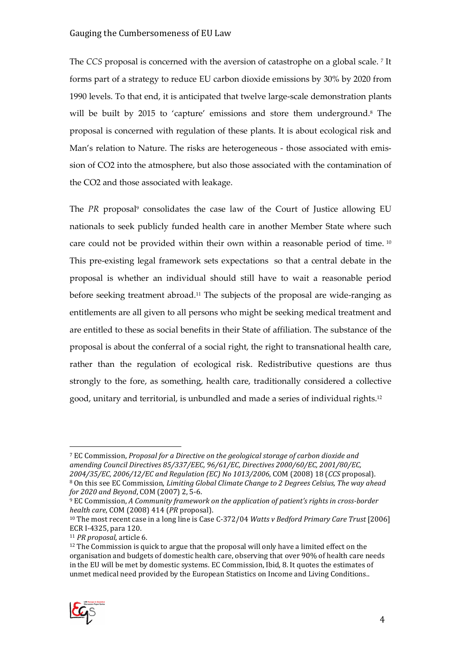The CCS proposal is concerned with the aversion of catastrophe on a global scale. <sup>7</sup> It forms part of a strategy to reduce EU carbon dioxide emissions by 30% by 2020 from 1990 levels. To that end, it is anticipated that twelve large-scale demonstration plants will be built by 2015 to 'capture' emissions and store them underground.<sup>8</sup> The proposal is concerned with regulation of these plants. It is about ecological risk and Man's relation to Nature. The risks are heterogeneous - those associated with emission of CO2 into the atmosphere, but also those associated with the contamination of the CO2 and those associated with leakage.

The PR proposal<sup>9</sup> consolidates the case law of the Court of Justice allowing EU nationals to seek publicly funded health care in another Member State where such care could not be provided within their own within a reasonable period of time.<sup>10</sup> This pre-existing legal framework sets expectations so that a central debate in the proposal is whether an individual should still have to wait a reasonable period before seeking treatment abroad.11 The subjects of the proposal are wide-ranging as entitlements are all given to all persons who might be seeking medical treatment and are entitled to these as social benefits in their State of affiliation. The substance of the proposal is about the conferral of a social right, the right to transnational health care, rather than the regulation of ecological risk. Redistributive questions are thus strongly to the fore, as something, health care, traditionally considered a collective good, unitary and territorial, is unbundled and made a series of individual rights.<sup>12</sup>

<sup>&</sup>lt;sup>12</sup> The Commission is quick to argue that the proposal will only have a limited effect on the organisation and budgets of domestic health care, observing that over 90% of health care needs in the EU will be met by domestic systems. EC Commission, Ibid, 8. It quotes the estimates of unmet medical need provided by the European Statistics on Income and Living Conditions..



<sup>7</sup> EC Commission, Proposal for a Directive on the geological storage of carbon dioxide and amending Council Directives 85/337/EEC, 96/61/EC, Directives 2000/60/EC, 2001/80/EC, 2004/35/EC, 2006/12/EC and Regulation (EC) No 1013/2006, COM (2008) 18 (CCS proposal). <sup>8</sup> On this see EC Commission, *Limiting Global Climate Change to 2 Degrees Celsius, The way ahead* for 2020 and Beyond, COM (2007) 2, 5-6.

<sup>9</sup> EC Commission, A Community framework on the application of patient's rights in cross-border health care, COM (2008) 414 (PR proposal).

<sup>&</sup>lt;sup>10</sup> The most recent case in a long line is Case C-372/04 Watts v Bedford Primary Care Trust [2006] ECR I-4325, para 120.

<sup>11</sup> PR proposal, article 6.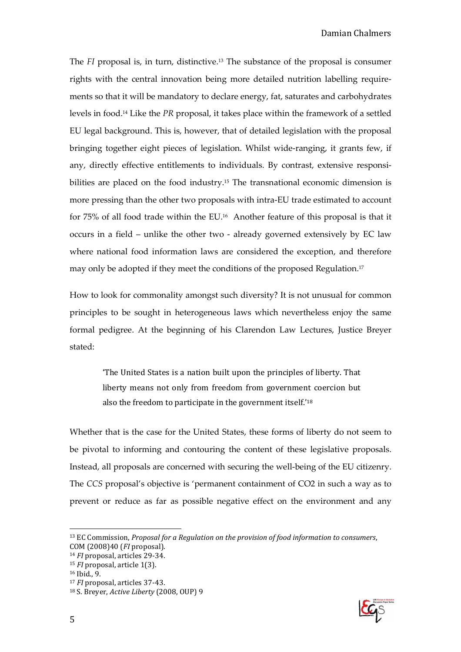The FI proposal is, in turn, distinctive.13 The substance of the proposal is consumer rights with the central innovation being more detailed nutrition labelling requirements so that it will be mandatory to declare energy, fat, saturates and carbohydrates levels in food.14 Like the PR proposal, it takes place within the framework of a settled EU legal background. This is, however, that of detailed legislation with the proposal bringing together eight pieces of legislation. Whilst wide-ranging, it grants few, if any, directly effective entitlements to individuals. By contrast, extensive responsibilities are placed on the food industry.<sup>15</sup> The transnational economic dimension is more pressing than the other two proposals with intra-EU trade estimated to account for 75% of all food trade within the EU.16 Another feature of this proposal is that it occurs in a field – unlike the other two - already governed extensively by EC law where national food information laws are considered the exception, and therefore may only be adopted if they meet the conditions of the proposed Regulation.<sup>17</sup>

How to look for commonality amongst such diversity? It is not unusual for common principles to be sought in heterogeneous laws which nevertheless enjoy the same formal pedigree. At the beginning of his Clarendon Law Lectures, Justice Breyer stated:

> 'The United States is a nation built upon the principles of liberty. That liberty means not only from freedom from government coercion but also the freedom to participate in the government itself.'<sup>18</sup>

Whether that is the case for the United States, these forms of liberty do not seem to be pivotal to informing and contouring the content of these legislative proposals. Instead, all proposals are concerned with securing the well-being of the EU citizenry. The CCS proposal's objective is 'permanent containment of CO2 in such a way as to prevent or reduce as far as possible negative effect on the environment and any



<sup>&</sup>lt;sup>13</sup> EC Commission, Proposal for a Regulation on the provision of food information to consumers, COM (2008)40 (FI proposal).

<sup>14</sup> FI proposal, articles 29-34.

<sup>15</sup> FI proposal, article 1(3).

<sup>16</sup> Ibid., 9.

<sup>17</sup> FI proposal, articles 37-43.

<sup>18</sup> S. Breyer, Active Liberty (2008, OUP) 9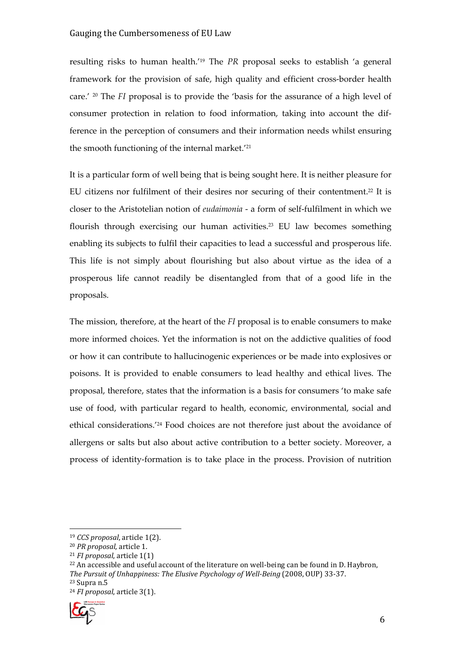resulting risks to human health.'19 The PR proposal seeks to establish 'a general framework for the provision of safe, high quality and efficient cross-border health care.' 20 The FI proposal is to provide the 'basis for the assurance of a high level of consumer protection in relation to food information, taking into account the difference in the perception of consumers and their information needs whilst ensuring the smooth functioning of the internal market.<sup>'21</sup>

It is a particular form of well being that is being sought here. It is neither pleasure for EU citizens nor fulfilment of their desires nor securing of their contentment.22 It is closer to the Aristotelian notion of eudaimonia - a form of self-fulfilment in which we flourish through exercising our human activities.<sup>23</sup> EU law becomes something enabling its subjects to fulfil their capacities to lead a successful and prosperous life. This life is not simply about flourishing but also about virtue as the idea of a prosperous life cannot readily be disentangled from that of a good life in the proposals.

The mission, therefore, at the heart of the FI proposal is to enable consumers to make more informed choices. Yet the information is not on the addictive qualities of food or how it can contribute to hallucinogenic experiences or be made into explosives or poisons. It is provided to enable consumers to lead healthy and ethical lives. The proposal, therefore, states that the information is a basis for consumers 'to make safe use of food, with particular regard to health, economic, environmental, social and ethical considerations.'24 Food choices are not therefore just about the avoidance of allergens or salts but also about active contribution to a better society. Moreover, a process of identity-formation is to take place in the process. Provision of nutrition

<sup>24</sup> FI proposal, article 3(1).



<sup>19</sup> CCS proposal, article 1(2).

<sup>20</sup> PR proposal, article 1.

 $21$  *FI* proposal, article 1(1)

 $22$  An accessible and useful account of the literature on well-being can be found in D. Haybron, The Pursuit of Unhappiness: The Elusive Psychology of Well-Being (2008, OUP) 33-37.

<sup>23</sup> Supra n.5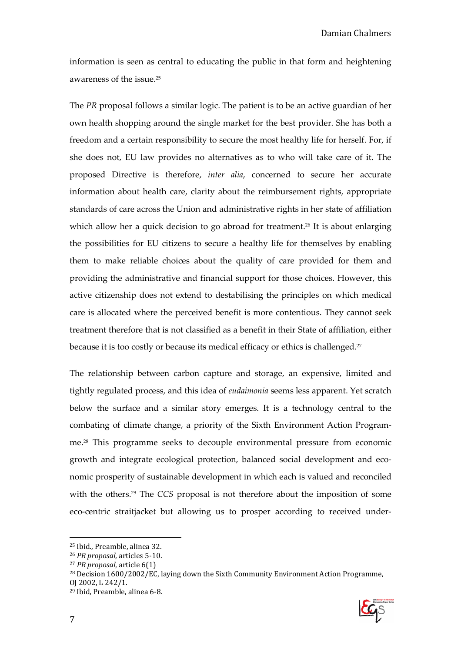information is seen as central to educating the public in that form and heightening awareness of the issue.<sup>25</sup>

The PR proposal follows a similar logic. The patient is to be an active guardian of her own health shopping around the single market for the best provider. She has both a freedom and a certain responsibility to secure the most healthy life for herself. For, if she does not, EU law provides no alternatives as to who will take care of it. The proposed Directive is therefore, inter alia, concerned to secure her accurate information about health care, clarity about the reimbursement rights, appropriate standards of care across the Union and administrative rights in her state of affiliation which allow her a quick decision to go abroad for treatment.<sup>26</sup> It is about enlarging the possibilities for EU citizens to secure a healthy life for themselves by enabling them to make reliable choices about the quality of care provided for them and providing the administrative and financial support for those choices. However, this active citizenship does not extend to destabilising the principles on which medical care is allocated where the perceived benefit is more contentious. They cannot seek treatment therefore that is not classified as a benefit in their State of affiliation, either because it is too costly or because its medical efficacy or ethics is challenged.<sup>27</sup>

The relationship between carbon capture and storage, an expensive, limited and tightly regulated process, and this idea of eudaimonia seems less apparent. Yet scratch below the surface and a similar story emerges. It is a technology central to the combating of climate change, a priority of the Sixth Environment Action Programme.28 This programme seeks to decouple environmental pressure from economic growth and integrate ecological protection, balanced social development and economic prosperity of sustainable development in which each is valued and reconciled with the others.<sup>29</sup> The CCS proposal is not therefore about the imposition of some eco-centric straitjacket but allowing us to prosper according to received under-

<sup>25</sup> Ibid., Preamble, alinea 32.

<sup>26</sup> PR proposal, articles 5-10.

<sup>27</sup> PR proposal, article 6(1)

<sup>&</sup>lt;sup>28</sup> Decision 1600/2002/EC, laying down the Sixth Community Environment Action Programme, OJ 2002, L 242/1. 29 Ibid, Preamble, alinea 6-8.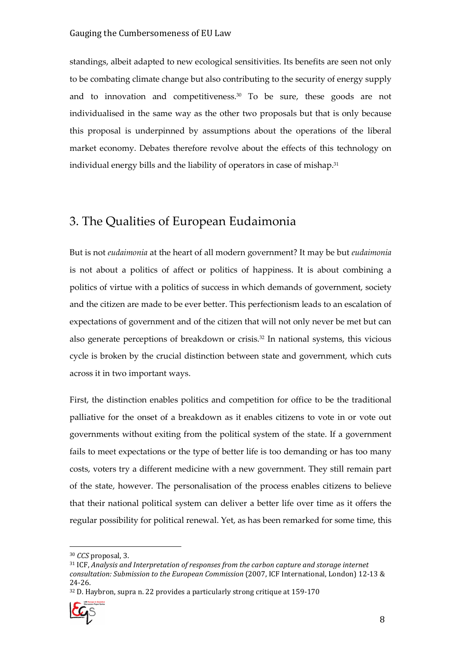standings, albeit adapted to new ecological sensitivities. Its benefits are seen not only to be combating climate change but also contributing to the security of energy supply and to innovation and competitiveness.<sup>30</sup> To be sure, these goods are not individualised in the same way as the other two proposals but that is only because this proposal is underpinned by assumptions about the operations of the liberal market economy. Debates therefore revolve about the effects of this technology on individual energy bills and the liability of operators in case of mishap.<sup>31</sup>

### 3. The Qualities of European Eudaimonia

But is not eudaimonia at the heart of all modern government? It may be but eudaimonia is not about a politics of affect or politics of happiness. It is about combining a politics of virtue with a politics of success in which demands of government, society and the citizen are made to be ever better. This perfectionism leads to an escalation of expectations of government and of the citizen that will not only never be met but can also generate perceptions of breakdown or crisis.32 In national systems, this vicious cycle is broken by the crucial distinction between state and government, which cuts across it in two important ways.

First, the distinction enables politics and competition for office to be the traditional palliative for the onset of a breakdown as it enables citizens to vote in or vote out governments without exiting from the political system of the state. If a government fails to meet expectations or the type of better life is too demanding or has too many costs, voters try a different medicine with a new government. They still remain part of the state, however. The personalisation of the process enables citizens to believe that their national political system can deliver a better life over time as it offers the regular possibility for political renewal. Yet, as has been remarked for some time, this

<sup>32</sup> D. Haybron, supra n. 22 provides a particularly strong critique at 159-170



<sup>30</sup> CCS proposal, 3.

<sup>31</sup> ICF, Analysis and Interpretation of responses from the carbon capture and storage internet consultation: Submission to the European Commission (2007, ICF International, London) 12-13 & 24-26.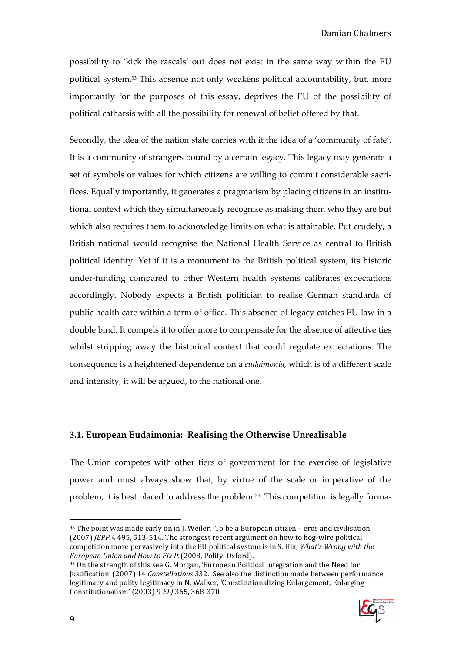possibility to 'kick the rascals' out does not exist in the same way within the EU political system.33 This absence not only weakens political accountability, but, more importantly for the purposes of this essay, deprives the EU of the possibility of political catharsis with all the possibility for renewal of belief offered by that.

Secondly, the idea of the nation state carries with it the idea of a 'community of fate'. It is a community of strangers bound by a certain legacy. This legacy may generate a set of symbols or values for which citizens are willing to commit considerable sacrifices. Equally importantly, it generates a pragmatism by placing citizens in an institutional context which they simultaneously recognise as making them who they are but which also requires them to acknowledge limits on what is attainable. Put crudely, a British national would recognise the National Health Service as central to British political identity. Yet if it is a monument to the British political system, its historic under-funding compared to other Western health systems calibrates expectations accordingly. Nobody expects a British politician to realise German standards of public health care within a term of office. This absence of legacy catches EU law in a double bind. It compels it to offer more to compensate for the absence of affective ties whilst stripping away the historical context that could regulate expectations. The consequence is a heightened dependence on a eudaimonia, which is of a different scale and intensity, it will be argued, to the national one.

#### 3.1. European Eudaimonia: Realising the Otherwise Unrealisable

The Union competes with other tiers of government for the exercise of legislative power and must always show that, by virtue of the scale or imperative of the problem, it is best placed to address the problem.34 This competition is legally forma-

<sup>34</sup> On the strength of this see G. Morgan, 'European Political Integration and the Need for Justification' (2007) 14 Constellations 332. See also the distinction made between performance legitimacy and polity legitimacy in N. Walker, 'Constitutionalizing Enlargement, Enlarging Constitutionalism' (2003) 9 ELJ 365, 368-370.



<sup>33</sup> The point was made early on in J. Weiler, 'To be a European citizen – eros and civilisation' (2007) JEPP 4 495, 513-514. The strongest recent argument on how to hog-wire political competition more pervasively into the EU political system is in S. Hix, What's Wrong with the European Union and How to Fix It (2008, Polity, Oxford).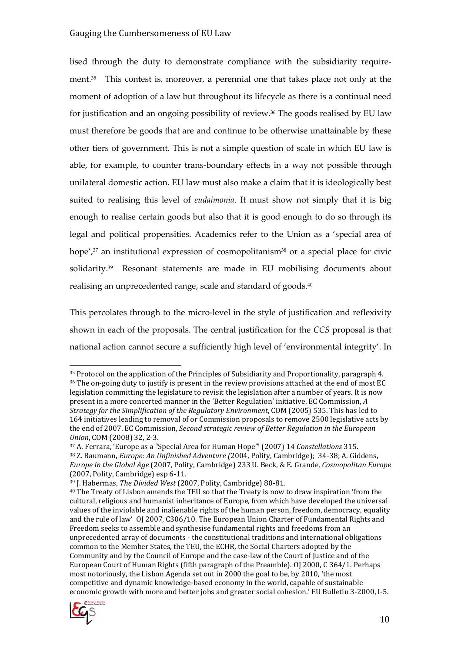lised through the duty to demonstrate compliance with the subsidiarity requirement.35 This contest is, moreover, a perennial one that takes place not only at the moment of adoption of a law but throughout its lifecycle as there is a continual need for justification and an ongoing possibility of review.36 The goods realised by EU law must therefore be goods that are and continue to be otherwise unattainable by these other tiers of government. This is not a simple question of scale in which EU law is able, for example, to counter trans-boundary effects in a way not possible through unilateral domestic action. EU law must also make a claim that it is ideologically best suited to realising this level of *eudaimonia*. It must show not simply that it is big enough to realise certain goods but also that it is good enough to do so through its legal and political propensities. Academics refer to the Union as a 'special area of hope', $37$  an institutional expression of cosmopolitanism $38$  or a special place for civic solidarity.39 Resonant statements are made in EU mobilising documents about realising an unprecedented range, scale and standard of goods. $^{40}$ 

This percolates through to the micro-level in the style of justification and reflexivity shown in each of the proposals. The central justification for the CCS proposal is that national action cannot secure a sufficiently high level of 'environmental integrity'. In

<sup>&</sup>lt;sup>40</sup> The Treaty of Lisbon amends the TEU so that the Treaty is now to draw inspiration 'from the cultural, religious and humanist inheritance of Europe, from which have developed the universal values of the inviolable and inalienable rights of the human person, freedom, democracy, equality and the rule of law' OJ 2007, C306/10. The European Union Charter of Fundamental Rights and Freedom seeks to assemble and synthesise fundamental rights and freedoms from an unprecedented array of documents - the constitutional traditions and international obligations common to the Member States, the TEU, the ECHR, the Social Charters adopted by the Community and by the Council of Europe and the case-law of the Court of Justice and of the European Court of Human Rights (fifth paragraph of the Preamble). OJ 2000, C 364/1. Perhaps most notoriously, the Lisbon Agenda set out in 2000 the goal to be, by 2010, 'the most competitive and dynamic knowledge-based economy in the world, capable of sustainable economic growth with more and better jobs and greater social cohesion.' EU Bulletin 3-2000, I-5.



<sup>35</sup> Protocol on the application of the Principles of Subsidiarity and Proportionality, paragraph 4. <sup>36</sup> The on-going duty to justify is present in the review provisions attached at the end of most EC legislation committing the legislature to revisit the legislation after a number of years. It is now present in a more concerted manner in the 'Better Regulation' initiative. EC Commission, A Strategy for the Simplification of the Regulatory Environment, COM (2005) 535. This has led to 164 initiatives leading to removal of or Commission proposals to remove 2500 legislative acts by the end of 2007. EC Commission, Second strategic review of Better Regulation in the European Union, COM (2008) 32, 2-3.

<sup>37</sup> A. Ferrara, 'Europe as a "Special Area for Human Hope"' (2007) 14 Constellations 315. <sup>38</sup> Z. Baumann, Europe: An Unfinished Adventure (2004, Polity, Cambridge); 34-38; A. Giddens, Europe in the Global Age (2007, Polity, Cambridge) 233 U. Beck, & E. Grande, Cosmopolitan Europe (2007, Polity, Cambridge) esp 6-11.

<sup>39</sup> J. Habermas, The Divided West (2007, Polity, Cambridge) 80-81.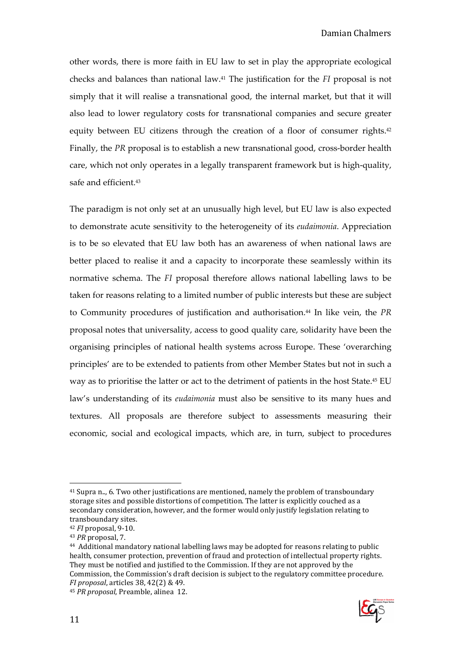other words, there is more faith in EU law to set in play the appropriate ecological checks and balances than national law.41 The justification for the FI proposal is not simply that it will realise a transnational good, the internal market, but that it will also lead to lower regulatory costs for transnational companies and secure greater equity between EU citizens through the creation of a floor of consumer rights.<sup>42</sup> Finally, the PR proposal is to establish a new transnational good, cross-border health care, which not only operates in a legally transparent framework but is high-quality, safe and efficient.<sup>43</sup>

The paradigm is not only set at an unusually high level, but EU law is also expected to demonstrate acute sensitivity to the heterogeneity of its eudaimonia. Appreciation is to be so elevated that EU law both has an awareness of when national laws are better placed to realise it and a capacity to incorporate these seamlessly within its normative schema. The FI proposal therefore allows national labelling laws to be taken for reasons relating to a limited number of public interests but these are subject to Community procedures of justification and authorisation.<sup>44</sup> In like vein, the PR proposal notes that universality, access to good quality care, solidarity have been the organising principles of national health systems across Europe. These 'overarching principles' are to be extended to patients from other Member States but not in such a way as to prioritise the latter or act to the detriment of patients in the host State.45 EU law's understanding of its *eudaimonia* must also be sensitive to its many hues and textures. All proposals are therefore subject to assessments measuring their economic, social and ecological impacts, which are, in turn, subject to procedures



<sup>41</sup> Supra n.., 6. Two other justifications are mentioned, namely the problem of transboundary storage sites and possible distortions of competition. The latter is explicitly couched as a secondary consideration, however, and the former would only justify legislation relating to transboundary sites.

<sup>42</sup> FI proposal, 9-10.

<sup>43</sup> PR proposal, 7.

<sup>44</sup> Additional mandatory national labelling laws may be adopted for reasons relating to public health, consumer protection, prevention of fraud and protection of intellectual property rights. They must be notified and justified to the Commission. If they are not approved by the Commission, the Commission's draft decision is subject to the regulatory committee procedure. FI proposal, articles 38, 42(2) & 49.

<sup>45</sup> PR proposal, Preamble, alinea 12.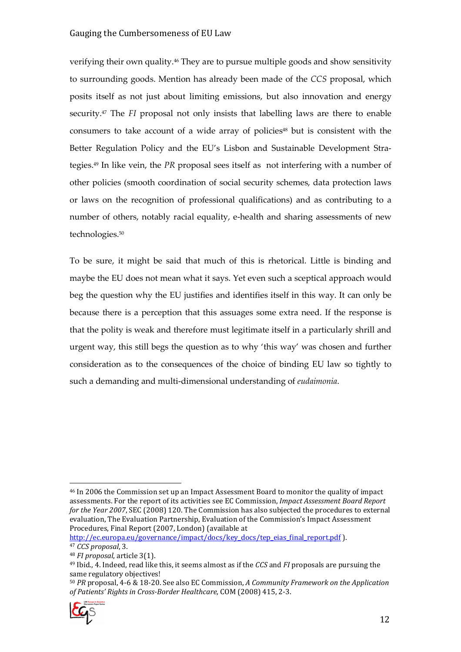verifying their own quality.46 They are to pursue multiple goods and show sensitivity to surrounding goods. Mention has already been made of the CCS proposal, which posits itself as not just about limiting emissions, but also innovation and energy security.<sup>47</sup> The *FI* proposal not only insists that labelling laws are there to enable consumers to take account of a wide array of policies<sup>48</sup> but is consistent with the Better Regulation Policy and the EU's Lisbon and Sustainable Development Strategies.49 In like vein, the PR proposal sees itself as not interfering with a number of other policies (smooth coordination of social security schemes, data protection laws or laws on the recognition of professional qualifications) and as contributing to a number of others, notably racial equality, e-health and sharing assessments of new technologies.<sup>50</sup>

To be sure, it might be said that much of this is rhetorical. Little is binding and maybe the EU does not mean what it says. Yet even such a sceptical approach would beg the question why the EU justifies and identifies itself in this way. It can only be because there is a perception that this assuages some extra need. If the response is that the polity is weak and therefore must legitimate itself in a particularly shrill and urgent way, this still begs the question as to why 'this way' was chosen and further consideration as to the consequences of the choice of binding EU law so tightly to such a demanding and multi-dimensional understanding of eudaimonia.

http://ec.europa.eu/governance/impact/docs/key\_docs/tep\_eias\_final\_report.pdf ). <sup>47</sup> CCS proposal, 3.

<sup>50</sup> PR proposal, 4-6 & 18-20. See also EC Commission, A Community Framework on the Application of Patients' Rights in Cross-Border Healthcare, COM (2008) 415, 2-3.



 $\overline{a}$ <sup>46</sup> In 2006 the Commission set up an Impact Assessment Board to monitor the quality of impact assessments. For the report of its activities see EC Commission, Impact Assessment Board Report for the Year 2007, SEC (2008) 120. The Commission has also subjected the procedures to external evaluation, The Evaluation Partnership, Evaluation of the Commission's Impact Assessment Procedures, Final Report (2007, London) (available at

<sup>48</sup> FI proposal, article 3(1).

 $49$  Ibid., 4. Indeed, read like this, it seems almost as if the CCS and FI proposals are pursuing the same regulatory objectives!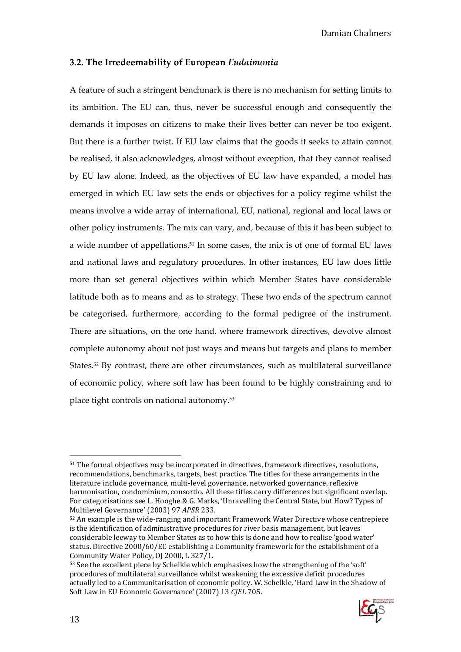#### 3.2. The Irredeemability of European Eudaimonia

A feature of such a stringent benchmark is there is no mechanism for setting limits to its ambition. The EU can, thus, never be successful enough and consequently the demands it imposes on citizens to make their lives better can never be too exigent. But there is a further twist. If EU law claims that the goods it seeks to attain cannot be realised, it also acknowledges, almost without exception, that they cannot realised by EU law alone. Indeed, as the objectives of EU law have expanded, a model has emerged in which EU law sets the ends or objectives for a policy regime whilst the means involve a wide array of international, EU, national, regional and local laws or other policy instruments. The mix can vary, and, because of this it has been subject to a wide number of appellations.51 In some cases, the mix is of one of formal EU laws and national laws and regulatory procedures. In other instances, EU law does little more than set general objectives within which Member States have considerable latitude both as to means and as to strategy. These two ends of the spectrum cannot be categorised, furthermore, according to the formal pedigree of the instrument. There are situations, on the one hand, where framework directives, devolve almost complete autonomy about not just ways and means but targets and plans to member States.52 By contrast, there are other circumstances, such as multilateral surveillance of economic policy, where soft law has been found to be highly constraining and to place tight controls on national autonomy.<sup>53</sup>

<sup>53</sup> See the excellent piece by Schelkle which emphasises how the strengthening of the 'soft' procedures of multilateral surveillance whilst weakening the excessive deficit procedures actually led to a Communitarisation of economic policy. W. Schelkle, 'Hard Law in the Shadow of Soft Law in EU Economic Governance' (2007) 13 CJEL 705.



<sup>51</sup> The formal objectives may be incorporated in directives, framework directives, resolutions, recommendations, benchmarks, targets, best practice. The titles for these arrangements in the literature include governance, multi-level governance, networked governance, reflexive harmonisation, condominium, consortio. All these titles carry differences but significant overlap. For categorisations see L. Hooghe & G. Marks, 'Unravelling the Central State, but How? Types of Multilevel Governance' (2003) 97 APSR 233.

<sup>52</sup> An example is the wide-ranging and important Framework Water Directive whose centrepiece is the identification of administrative procedures for river basis management, but leaves considerable leeway to Member States as to how this is done and how to realise 'good water' status. Directive 2000/60/EC establishing a Community framework for the establishment of a Community Water Policy, OJ 2000, L 327/1.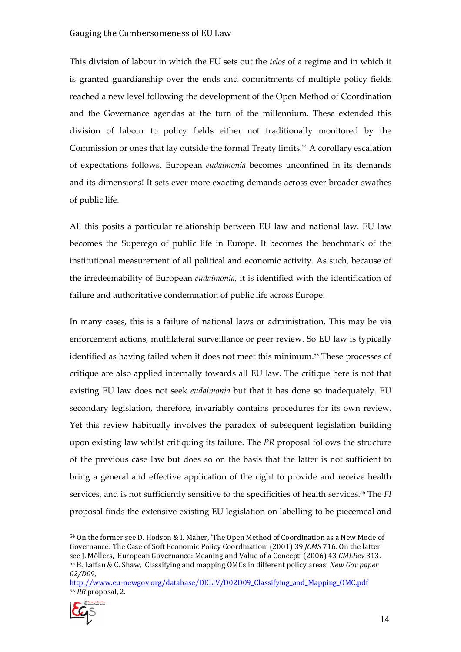This division of labour in which the EU sets out the telos of a regime and in which it is granted guardianship over the ends and commitments of multiple policy fields reached a new level following the development of the Open Method of Coordination and the Governance agendas at the turn of the millennium. These extended this division of labour to policy fields either not traditionally monitored by the Commission or ones that lay outside the formal Treaty limits.<sup>54</sup> A corollary escalation of expectations follows. European eudaimonia becomes unconfined in its demands and its dimensions! It sets ever more exacting demands across ever broader swathes of public life.

All this posits a particular relationship between EU law and national law. EU law becomes the Superego of public life in Europe. It becomes the benchmark of the institutional measurement of all political and economic activity. As such, because of the irredeemability of European eudaimonia, it is identified with the identification of failure and authoritative condemnation of public life across Europe.

In many cases, this is a failure of national laws or administration. This may be via enforcement actions, multilateral surveillance or peer review. So EU law is typically identified as having failed when it does not meet this minimum.55 These processes of critique are also applied internally towards all EU law. The critique here is not that existing EU law does not seek *eudaimonia* but that it has done so inadequately. EU secondary legislation, therefore, invariably contains procedures for its own review. Yet this review habitually involves the paradox of subsequent legislation building upon existing law whilst critiquing its failure. The PR proposal follows the structure of the previous case law but does so on the basis that the latter is not sufficient to bring a general and effective application of the right to provide and receive health services, and is not sufficiently sensitive to the specificities of health services.<sup>56</sup> The FI proposal finds the extensive existing EU legislation on labelling to be piecemeal and

http://www.eu-newgov.org/database/DELIV/D02D09 Classifying and Mapping OMC.pdf <sup>56</sup> PR proposal, 2.



<sup>54</sup> On the former see D. Hodson & I. Maher, 'The Open Method of Coordination as a New Mode of Governance: The Case of Soft Economic Policy Coordination' (2001) 39 JCMS 716. On the latter see J. Möllers, 'European Governance: Meaning and Value of a Concept' (2006) 43 CMLRev 313. <sup>55</sup> B. Laffan & C. Shaw, 'Classifying and mapping OMCs in different policy areas' New Gov paper 02/D09,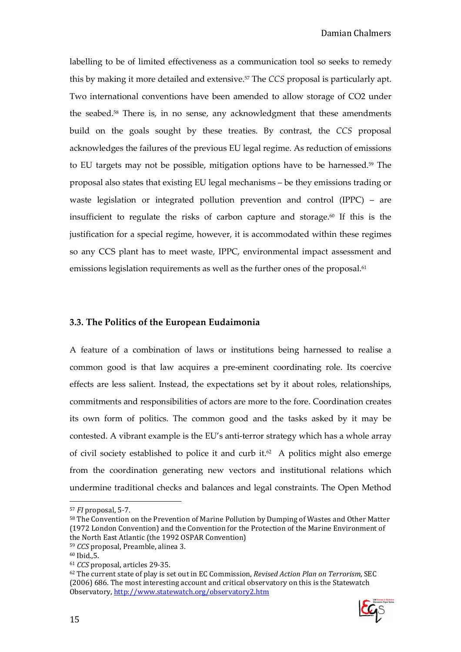labelling to be of limited effectiveness as a communication tool so seeks to remedy this by making it more detailed and extensive.<sup>57</sup> The CCS proposal is particularly apt. Two international conventions have been amended to allow storage of CO2 under the seabed.58 There is, in no sense, any acknowledgment that these amendments build on the goals sought by these treaties. By contrast, the CCS proposal acknowledges the failures of the previous EU legal regime. As reduction of emissions to EU targets may not be possible, mitigation options have to be harnessed.59 The proposal also states that existing EU legal mechanisms – be they emissions trading or waste legislation or integrated pollution prevention and control (IPPC) – are insufficient to regulate the risks of carbon capture and storage.<sup>60</sup> If this is the justification for a special regime, however, it is accommodated within these regimes so any CCS plant has to meet waste, IPPC, environmental impact assessment and emissions legislation requirements as well as the further ones of the proposal.<sup>61</sup>

#### 3.3. The Politics of the European Eudaimonia

A feature of a combination of laws or institutions being harnessed to realise a common good is that law acquires a pre-eminent coordinating role. Its coercive effects are less salient. Instead, the expectations set by it about roles, relationships, commitments and responsibilities of actors are more to the fore. Coordination creates its own form of politics. The common good and the tasks asked by it may be contested. A vibrant example is the EU's anti-terror strategy which has a whole array of civil society established to police it and curb it.<sup>62</sup> A politics might also emerge from the coordination generating new vectors and institutional relations which undermine traditional checks and balances and legal constraints. The Open Method

 $62$  The current state of play is set out in EC Commission, Revised Action Plan on Terrorism, SEC (2006) 686. The most interesting account and critical observatory on this is the Statewatch Observatory, http://www.statewatch.org/observatory2.htm



<sup>57</sup> FI proposal, 5-7.

<sup>58</sup> The Convention on the Prevention of Marine Pollution by Dumping of Wastes and Other Matter (1972 London Convention) and the Convention for the Protection of the Marine Environment of the North East Atlantic (the 1992 OSPAR Convention)

<sup>59</sup> CCS proposal, Preamble, alinea 3.

 $60$  Ibid., 5.

<sup>61</sup> CCS proposal, articles 29-35.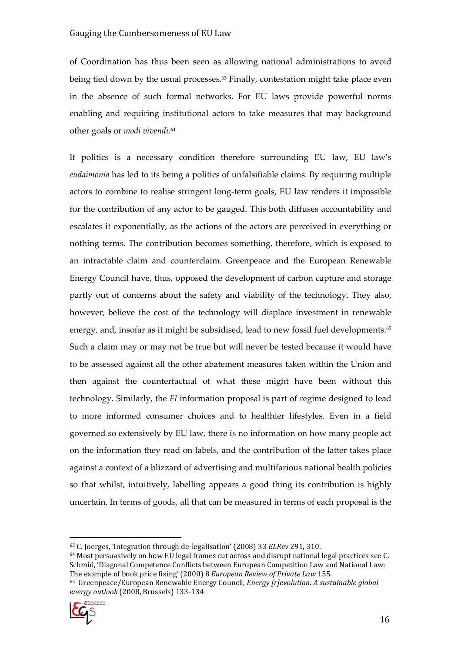of Coordination has thus been seen as allowing national administrations to avoid being tied down by the usual processes.<sup>63</sup> Finally, contestation might take place even in the absence of such formal networks. For EU laws provide powerful norms enabling and requiring institutional actors to take measures that may background other goals or *modi vivendi*.<sup>64</sup>

If politics is a necessary condition therefore surrounding EU law, EU law's eudaimonia has led to its being a politics of unfalsifiable claims. By requiring multiple actors to combine to realise stringent long-term goals, EU law renders it impossible for the contribution of any actor to be gauged. This both diffuses accountability and escalates it exponentially, as the actions of the actors are perceived in everything or nothing terms. The contribution becomes something, therefore, which is exposed to an intractable claim and counterclaim. Greenpeace and the European Renewable Energy Council have, thus, opposed the development of carbon capture and storage partly out of concerns about the safety and viability of the technology. They also, however, believe the cost of the technology will displace investment in renewable energy, and, insofar as it might be subsidised, lead to new fossil fuel developments.<sup>65</sup> Such a claim may or may not be true but will never be tested because it would have to be assessed against all the other abatement measures taken within the Union and then against the counterfactual of what these might have been without this technology. Similarly, the FI information proposal is part of regime designed to lead to more informed consumer choices and to healthier lifestyles. Even in a field governed so extensively by EU law, there is no information on how many people act on the information they read on labels, and the contribution of the latter takes place against a context of a blizzard of advertising and multifarious national health policies so that whilst, intuitively, labelling appears a good thing its contribution is highly uncertain. In terms of goods, all that can be measured in terms of each proposal is the

<sup>65</sup> Greenpeace/European Renewable Energy Council, Energy [r]evolution: A sustainable global energy outlook (2008, Brussels) 133-134



<sup>63</sup> C. Joerges, 'Integration through de-legalisation' (2008) 33 ELRev 291, 310.

 $64$  Most persuasively on how EU legal frames cut across and disrupt national legal practices see C. Schmid, 'Diagonal Competence Conflicts between European Competition Law and National Law: The example of book price fixing' (2000) 8 European Review of Private Law 155.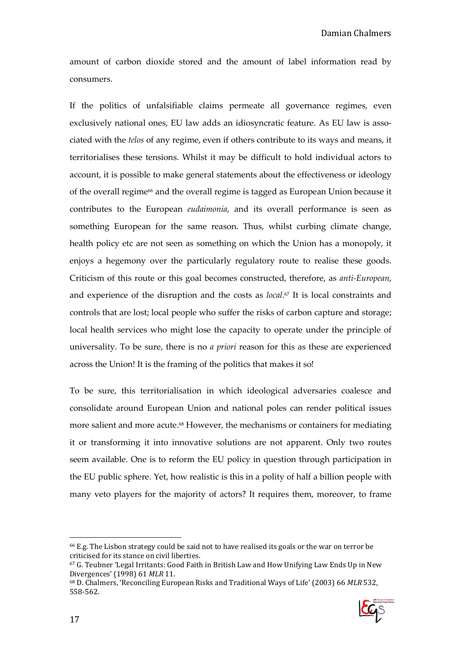amount of carbon dioxide stored and the amount of label information read by consumers.

If the politics of unfalsifiable claims permeate all governance regimes, even exclusively national ones, EU law adds an idiosyncratic feature. As EU law is associated with the telos of any regime, even if others contribute to its ways and means, it territorialises these tensions. Whilst it may be difficult to hold individual actors to account, it is possible to make general statements about the effectiveness or ideology of the overall regime<sup>66</sup> and the overall regime is tagged as European Union because it contributes to the European eudaimonia, and its overall performance is seen as something European for the same reason. Thus, whilst curbing climate change, health policy etc are not seen as something on which the Union has a monopoly, it enjoys a hegemony over the particularly regulatory route to realise these goods. Criticism of this route or this goal becomes constructed, therefore, as anti-European, and experience of the disruption and the costs as *local*.<sup>67</sup> It is local constraints and controls that are lost; local people who suffer the risks of carbon capture and storage; local health services who might lose the capacity to operate under the principle of universality. To be sure, there is no *a priori* reason for this as these are experienced across the Union! It is the framing of the politics that makes it so!

To be sure, this territorialisation in which ideological adversaries coalesce and consolidate around European Union and national poles can render political issues more salient and more acute.<sup>68</sup> However, the mechanisms or containers for mediating it or transforming it into innovative solutions are not apparent. Only two routes seem available. One is to reform the EU policy in question through participation in the EU public sphere. Yet, how realistic is this in a polity of half a billion people with many veto players for the majority of actors? It requires them, moreover, to frame

<sup>68</sup> D. Chalmers, 'Reconciling European Risks and Traditional Ways of Life' (2003) 66 MLR 532, 558-562.



<sup>66</sup> E.g. The Lisbon strategy could be said not to have realised its goals or the war on terror be criticised for its stance on civil liberties.

 $67$  G. Teubner 'Legal Irritants: Good Faith in British Law and How Unifying Law Ends Up in New Divergences' (1998) 61 MLR 11.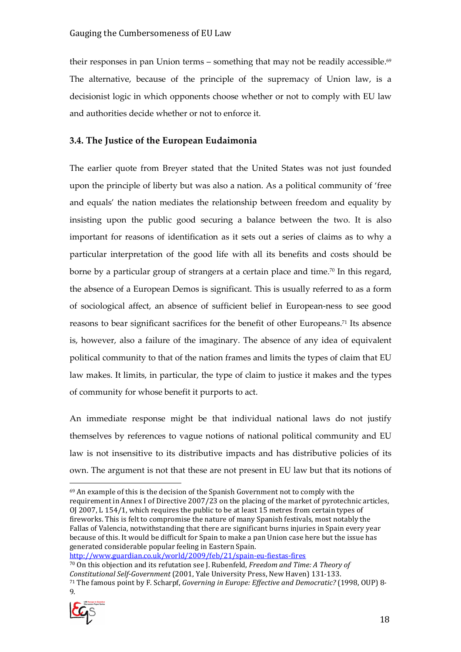their responses in pan Union terms – something that may not be readily accessible. $69$ The alternative, because of the principle of the supremacy of Union law, is a decisionist logic in which opponents choose whether or not to comply with EU law and authorities decide whether or not to enforce it.

#### 3.4. The Justice of the European Eudaimonia

The earlier quote from Breyer stated that the United States was not just founded upon the principle of liberty but was also a nation. As a political community of 'free and equals' the nation mediates the relationship between freedom and equality by insisting upon the public good securing a balance between the two. It is also important for reasons of identification as it sets out a series of claims as to why a particular interpretation of the good life with all its benefits and costs should be borne by a particular group of strangers at a certain place and time.<sup>70</sup> In this regard, the absence of a European Demos is significant. This is usually referred to as a form of sociological affect, an absence of sufficient belief in European-ness to see good reasons to bear significant sacrifices for the benefit of other Europeans.71 Its absence is, however, also a failure of the imaginary. The absence of any idea of equivalent political community to that of the nation frames and limits the types of claim that EU law makes. It limits, in particular, the type of claim to justice it makes and the types of community for whose benefit it purports to act.

An immediate response might be that individual national laws do not justify themselves by references to vague notions of national political community and EU law is not insensitive to its distributive impacts and has distributive policies of its own. The argument is not that these are not present in EU law but that its notions of

http://www.guardian.co.uk/world/2009/feb/21/spain-eu-fiestas-fires  $70$  On this objection and its refutation see J. Rubenfeld, Freedom and Time: A Theory of Constitutional Self-Government (2001, Yale University Press, New Haven) 131-133. <sup>71</sup> The famous point by F. Scharpf, Governing in Europe: Effective and Democratic? (1998, OUP) 8-  $\mathbf{Q}$ 



<sup>&</sup>lt;sup>69</sup> An example of this is the decision of the Spanish Government not to comply with the requirement in Annex I of Directive 2007/23 on the placing of the market of pyrotechnic articles, OJ 2007, L 154/1, which requires the public to be at least 15 metres from certain types of fireworks. This is felt to compromise the nature of many Spanish festivals, most notably the Fallas of Valencia, notwithstanding that there are significant burns injuries in Spain every year because of this. It would be difficult for Spain to make a pan Union case here but the issue has generated considerable popular feeling in Eastern Spain.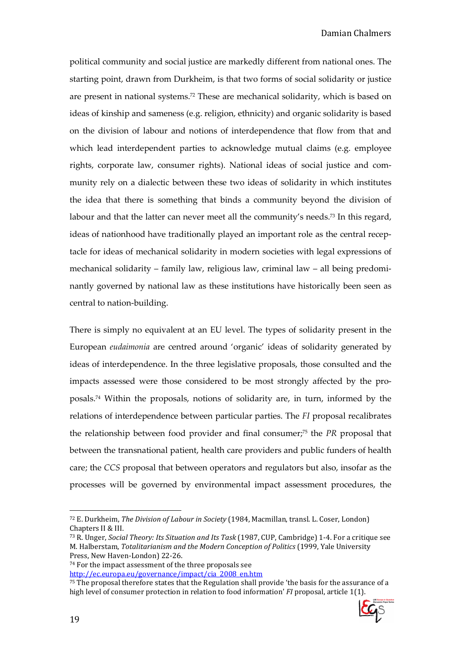political community and social justice are markedly different from national ones. The starting point, drawn from Durkheim, is that two forms of social solidarity or justice are present in national systems.72 These are mechanical solidarity, which is based on ideas of kinship and sameness (e.g. religion, ethnicity) and organic solidarity is based on the division of labour and notions of interdependence that flow from that and which lead interdependent parties to acknowledge mutual claims (e.g. employee rights, corporate law, consumer rights). National ideas of social justice and community rely on a dialectic between these two ideas of solidarity in which institutes the idea that there is something that binds a community beyond the division of labour and that the latter can never meet all the community's needs.<sup>73</sup> In this regard, ideas of nationhood have traditionally played an important role as the central receptacle for ideas of mechanical solidarity in modern societies with legal expressions of mechanical solidarity – family law, religious law, criminal law – all being predominantly governed by national law as these institutions have historically been seen as central to nation-building.

There is simply no equivalent at an EU level. The types of solidarity present in the European eudaimonia are centred around 'organic' ideas of solidarity generated by ideas of interdependence. In the three legislative proposals, those consulted and the impacts assessed were those considered to be most strongly affected by the proposals.74 Within the proposals, notions of solidarity are, in turn, informed by the relations of interdependence between particular parties. The FI proposal recalibrates the relationship between food provider and final consumer;75 the PR proposal that between the transnational patient, health care providers and public funders of health care; the CCS proposal that between operators and regulators but also, insofar as the processes will be governed by environmental impact assessment procedures, the

<sup>75</sup> The proposal therefore states that the Regulation shall provide 'the basis for the assurance of a high level of consumer protection in relation to food information' FI proposal, article 1(1).



<sup>72</sup> E. Durkheim, The Division of Labour in Society (1984, Macmillan, transl. L. Coser, London) Chapters II & III.

<sup>73</sup> R. Unger, Social Theory: Its Situation and Its Task (1987, CUP, Cambridge) 1-4. For a critique see M. Halberstam, Totalitarianism and the Modern Conception of Politics (1999, Yale University Press, New Haven-London) 22-26.

<sup>74</sup> For the impact assessment of the three proposals see http://ec.europa.eu/governance/impact/cia\_2008\_en.htm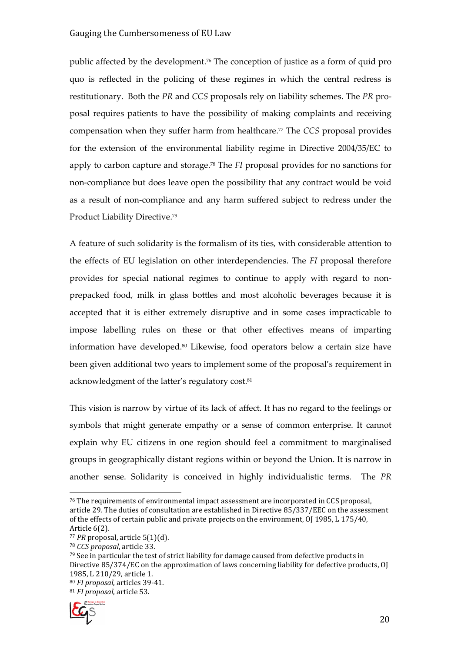public affected by the development.76 The conception of justice as a form of quid pro quo is reflected in the policing of these regimes in which the central redress is restitutionary. Both the PR and CCS proposals rely on liability schemes. The PR proposal requires patients to have the possibility of making complaints and receiving compensation when they suffer harm from healthcare.77 The CCS proposal provides for the extension of the environmental liability regime in Directive 2004/35/EC to apply to carbon capture and storage.78 The FI proposal provides for no sanctions for non-compliance but does leave open the possibility that any contract would be void as a result of non-compliance and any harm suffered subject to redress under the Product Liability Directive.<sup>79</sup>

A feature of such solidarity is the formalism of its ties, with considerable attention to the effects of EU legislation on other interdependencies. The FI proposal therefore provides for special national regimes to continue to apply with regard to nonprepacked food, milk in glass bottles and most alcoholic beverages because it is accepted that it is either extremely disruptive and in some cases impracticable to impose labelling rules on these or that other effectives means of imparting information have developed.80 Likewise, food operators below a certain size have been given additional two years to implement some of the proposal's requirement in acknowledgment of the latter's regulatory cost.<sup>81</sup>

This vision is narrow by virtue of its lack of affect. It has no regard to the feelings or symbols that might generate empathy or a sense of common enterprise. It cannot explain why EU citizens in one region should feel a commitment to marginalised groups in geographically distant regions within or beyond the Union. It is narrow in another sense. Solidarity is conceived in highly individualistic terms. The PR

<sup>&</sup>lt;sup>81</sup> FI proposal, article 53.



<sup>76</sup> The requirements of environmental impact assessment are incorporated in CCS proposal, article 29. The duties of consultation are established in Directive 85/337/EEC on the assessment of the effects of certain public and private projects on the environment, OJ 1985, L 175/40, Article 6(2).

 $77$  PR proposal, article 5(1)(d).

<sup>78</sup> CCS proposal, article 33.

 $79$  See in particular the test of strict liability for damage caused from defective products in Directive 85/374/EC on the approximation of laws concerning liability for defective products, OJ 1985, L 210/29, article 1. <sup>80</sup> FI proposal, articles 39-41.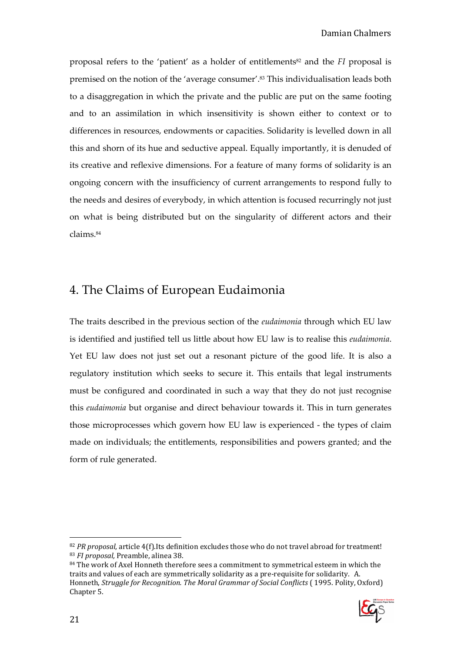proposal refers to the 'patient' as a holder of entitlements<sup>82</sup> and the  $FI$  proposal is premised on the notion of the 'average consumer'.83 This individualisation leads both to a disaggregation in which the private and the public are put on the same footing and to an assimilation in which insensitivity is shown either to context or to differences in resources, endowments or capacities. Solidarity is levelled down in all this and shorn of its hue and seductive appeal. Equally importantly, it is denuded of its creative and reflexive dimensions. For a feature of many forms of solidarity is an ongoing concern with the insufficiency of current arrangements to respond fully to the needs and desires of everybody, in which attention is focused recurringly not just on what is being distributed but on the singularity of different actors and their claims.<sup>84</sup>

### 4. The Claims of European Eudaimonia

The traits described in the previous section of the eudaimonia through which EU law is identified and justified tell us little about how EU law is to realise this eudaimonia. Yet EU law does not just set out a resonant picture of the good life. It is also a regulatory institution which seeks to secure it. This entails that legal instruments must be configured and coordinated in such a way that they do not just recognise this eudaimonia but organise and direct behaviour towards it. This in turn generates those microprocesses which govern how EU law is experienced - the types of claim made on individuals; the entitlements, responsibilities and powers granted; and the form of rule generated.

 $84$  The work of Axel Honneth therefore sees a commitment to symmetrical esteem in which the traits and values of each are symmetrically solidarity as a pre-requisite for solidarity. A. Honneth, Struggle for Recognition. The Moral Grammar of Social Conflicts ( 1995. Polity, Oxford) Chapter 5.



<sup>82</sup> PR proposal, article 4(f). Its definition excludes those who do not travel abroad for treatment! <sup>83</sup> FI proposal, Preamble, alinea 38.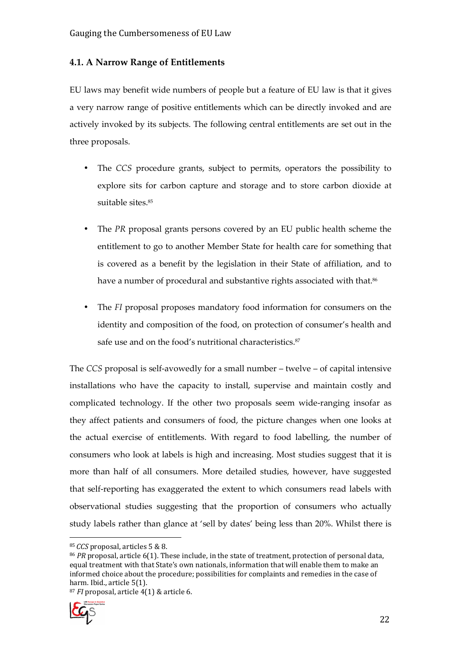#### 4.1. A Narrow Range of Entitlements

EU laws may benefit wide numbers of people but a feature of EU law is that it gives a very narrow range of positive entitlements which can be directly invoked and are actively invoked by its subjects. The following central entitlements are set out in the three proposals.

- The CCS procedure grants, subject to permits, operators the possibility to explore sits for carbon capture and storage and to store carbon dioxide at suitable sites.<sup>85</sup>
- The PR proposal grants persons covered by an EU public health scheme the entitlement to go to another Member State for health care for something that is covered as a benefit by the legislation in their State of affiliation, and to have a number of procedural and substantive rights associated with that. $^{86}$
- The FI proposal proposes mandatory food information for consumers on the identity and composition of the food, on protection of consumer's health and safe use and on the food's nutritional characteristics.<sup>87</sup>

The CCS proposal is self-avowedly for a small number – twelve – of capital intensive installations who have the capacity to install, supervise and maintain costly and complicated technology. If the other two proposals seem wide-ranging insofar as they affect patients and consumers of food, the picture changes when one looks at the actual exercise of entitlements. With regard to food labelling, the number of consumers who look at labels is high and increasing. Most studies suggest that it is more than half of all consumers. More detailed studies, however, have suggested that self-reporting has exaggerated the extent to which consumers read labels with observational studies suggesting that the proportion of consumers who actually study labels rather than glance at 'sell by dates' being less than 20%. Whilst there is

 $87$  FI proposal, article 4(1) & article 6.



<sup>85</sup>CCS proposal, articles 5 & 8.

 $86$  PR proposal, article 6(1). These include, in the state of treatment, protection of personal data, equal treatment with that State's own nationals, information that will enable them to make an informed choice about the procedure; possibilities for complaints and remedies in the case of harm. Ibid., article 5(1).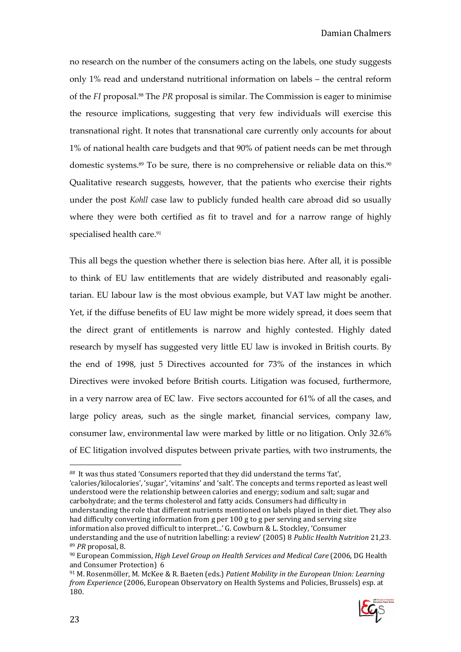no research on the number of the consumers acting on the labels, one study suggests only 1% read and understand nutritional information on labels – the central reform of the FI proposal.88 The PR proposal is similar. The Commission is eager to minimise the resource implications, suggesting that very few individuals will exercise this transnational right. It notes that transnational care currently only accounts for about 1% of national health care budgets and that 90% of patient needs can be met through domestic systems.<sup>89</sup> To be sure, there is no comprehensive or reliable data on this.<sup>90</sup> Qualitative research suggests, however, that the patients who exercise their rights under the post Kohll case law to publicly funded health care abroad did so usually where they were both certified as fit to travel and for a narrow range of highly specialised health care.<sup>91</sup>

This all begs the question whether there is selection bias here. After all, it is possible to think of EU law entitlements that are widely distributed and reasonably egalitarian. EU labour law is the most obvious example, but VAT law might be another. Yet, if the diffuse benefits of EU law might be more widely spread, it does seem that the direct grant of entitlements is narrow and highly contested. Highly dated research by myself has suggested very little EU law is invoked in British courts. By the end of 1998, just 5 Directives accounted for 73% of the instances in which Directives were invoked before British courts. Litigation was focused, furthermore, in a very narrow area of EC law. Five sectors accounted for 61% of all the cases, and large policy areas, such as the single market, financial services, company law, consumer law, environmental law were marked by little or no litigation. Only 32.6% of EC litigation involved disputes between private parties, with two instruments, the

88 It was thus stated 'Consumers reported that they did understand the terms 'fat', 'calories/kilocalories', 'sugar', 'vitamins' and 'salt'. The concepts and terms reported as least well understood were the relationship between calories and energy; sodium and salt; sugar and carbohydrate; and the terms cholesterol and fatty acids. Consumers had difficulty in understanding the role that different nutrients mentioned on labels played in their diet. They also had difficulty converting information from g per 100 g to g per serving and serving size information also proved difficult to interpret...' G. Cowburn & L. Stockley, 'Consumer understanding and the use of nutrition labelling: a review' (2005) 8 Public Health Nutrition 21,23. <sup>89</sup> PR proposal, 8.

 $91$  M. Rosenmöller, M. McKee & R. Baeten (eds.) Patient Mobility in the European Union: Learning from Experience (2006, European Observatory on Health Systems and Policies, Brussels) esp. at 180.



 $90$  European Commission, High Level Group on Health Services and Medical Care (2006, DG Health and Consumer Protection) 6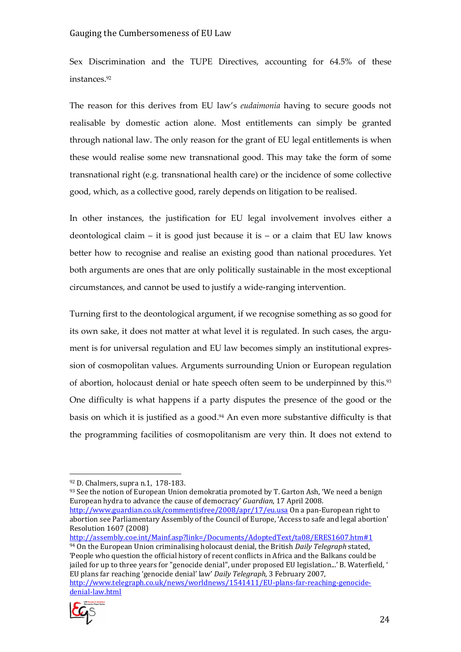Sex Discrimination and the TUPE Directives, accounting for 64.5% of these instances.<sup>92</sup>

The reason for this derives from EU law's eudaimonia having to secure goods not realisable by domestic action alone. Most entitlements can simply be granted through national law. The only reason for the grant of EU legal entitlements is when these would realise some new transnational good. This may take the form of some transnational right (e.g. transnational health care) or the incidence of some collective good, which, as a collective good, rarely depends on litigation to be realised.

In other instances, the justification for EU legal involvement involves either a deontological claim – it is good just because it is – or a claim that EU law knows better how to recognise and realise an existing good than national procedures. Yet both arguments are ones that are only politically sustainable in the most exceptional circumstances, and cannot be used to justify a wide-ranging intervention.

Turning first to the deontological argument, if we recognise something as so good for its own sake, it does not matter at what level it is regulated. In such cases, the argument is for universal regulation and EU law becomes simply an institutional expression of cosmopolitan values. Arguments surrounding Union or European regulation of abortion, holocaust denial or hate speech often seem to be underpinned by this.<sup>93</sup> One difficulty is what happens if a party disputes the presence of the good or the basis on which it is justified as a good.<sup>94</sup> An even more substantive difficulty is that the programming facilities of cosmopolitanism are very thin. It does not extend to

93 See the notion of European Union demokratia promoted by T. Garton Ash, 'We need a benign European hydra to advance the cause of democracy' Guardian, 17 April 2008. http://www.guardian.co.uk/commentisfree/2008/apr/17/eu.usa On a pan-European right to abortion see Parliamentary Assembly of the Council of Europe, 'Access to safe and legal abortion'

Resolution 1607 (2008) http://assembly.coe.int/Mainf.asp?link=/Documents/AdoptedText/ta08/ERES1607.htm#1  $94$  On the European Union criminalising holocaust denial, the British Daily Telegraph stated, 'People who question the official history of recent conflicts in Africa and the Balkans could be jailed for up to three years for "genocide denial", under proposed EU legislation...' B. Waterfield, ' EU plans far reaching 'genocide denial' law' Daily Telegraph, 3 February 2007, http://www.telegraph.co.uk/news/worldnews/1541411/EU-plans-far-reaching-genocidedenial-law.html



<sup>92</sup> D. Chalmers, supra n.1, 178-183.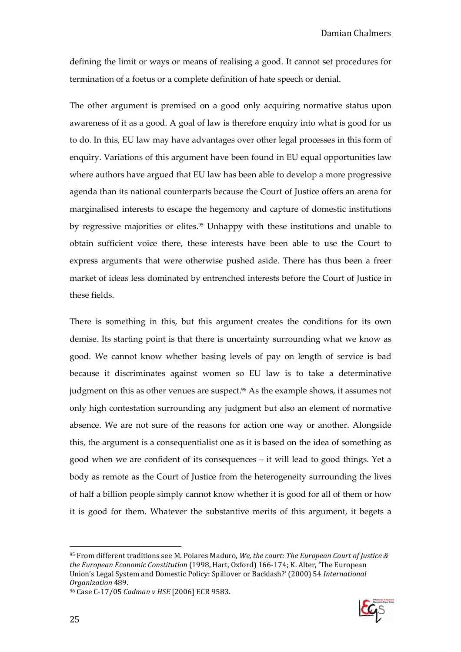defining the limit or ways or means of realising a good. It cannot set procedures for termination of a foetus or a complete definition of hate speech or denial.

The other argument is premised on a good only acquiring normative status upon awareness of it as a good. A goal of law is therefore enquiry into what is good for us to do. In this, EU law may have advantages over other legal processes in this form of enquiry. Variations of this argument have been found in EU equal opportunities law where authors have argued that EU law has been able to develop a more progressive agenda than its national counterparts because the Court of Justice offers an arena for marginalised interests to escape the hegemony and capture of domestic institutions by regressive majorities or elites.<sup>95</sup> Unhappy with these institutions and unable to obtain sufficient voice there, these interests have been able to use the Court to express arguments that were otherwise pushed aside. There has thus been a freer market of ideas less dominated by entrenched interests before the Court of Justice in these fields.

There is something in this, but this argument creates the conditions for its own demise. Its starting point is that there is uncertainty surrounding what we know as good. We cannot know whether basing levels of pay on length of service is bad because it discriminates against women so EU law is to take a determinative judgment on this as other venues are suspect.96 As the example shows, it assumes not only high contestation surrounding any judgment but also an element of normative absence. We are not sure of the reasons for action one way or another. Alongside this, the argument is a consequentialist one as it is based on the idea of something as good when we are confident of its consequences – it will lead to good things. Yet a body as remote as the Court of Justice from the heterogeneity surrounding the lives of half a billion people simply cannot know whether it is good for all of them or how it is good for them. Whatever the substantive merits of this argument, it begets a



 $95$  From different traditions see M. Poiares Maduro, We, the court: The European Court of Justice & the European Economic Constitution (1998, Hart, Oxford) 166-174; K. Alter, 'The European Union's Legal System and Domestic Policy: Spillover or Backlash?' (2000) 54 International Organization 489.

<sup>96</sup> Case C-17/05 Cadman v HSE [2006] ECR 9583.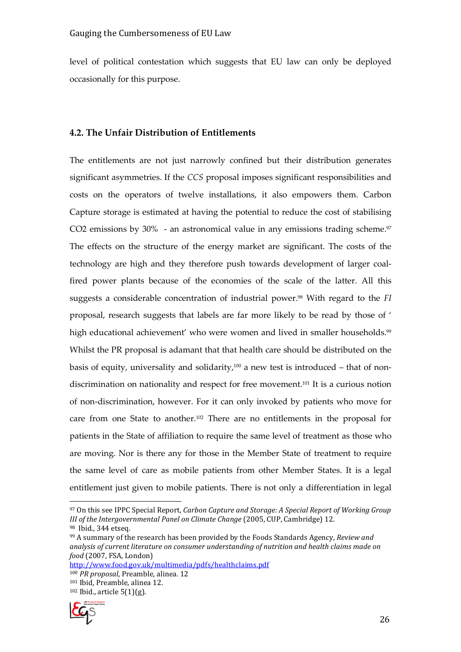level of political contestation which suggests that EU law can only be deployed occasionally for this purpose.

#### 4.2. The Unfair Distribution of Entitlements

The entitlements are not just narrowly confined but their distribution generates significant asymmetries. If the CCS proposal imposes significant responsibilities and costs on the operators of twelve installations, it also empowers them. Carbon Capture storage is estimated at having the potential to reduce the cost of stabilising CO2 emissions by  $30\%$  - an astronomical value in any emissions trading scheme. $97$ The effects on the structure of the energy market are significant. The costs of the technology are high and they therefore push towards development of larger coalfired power plants because of the economies of the scale of the latter. All this suggests a considerable concentration of industrial power.<sup>98</sup> With regard to the FI proposal, research suggests that labels are far more likely to be read by those of ' high educational achievement' who were women and lived in smaller households.<sup>99</sup> Whilst the PR proposal is adamant that that health care should be distributed on the basis of equity, universality and solidarity, $100$  a new test is introduced – that of nondiscrimination on nationality and respect for free movement.101 It is a curious notion of non-discrimination, however. For it can only invoked by patients who move for care from one State to another.102 There are no entitlements in the proposal for patients in the State of affiliation to require the same level of treatment as those who are moving. Nor is there any for those in the Member State of treatment to require the same level of care as mobile patients from other Member States. It is a legal entitlement just given to mobile patients. There is not only a differentiation in legal

http://www.food.gov.uk/multimedia/pdfs/healthclaims.pdf

<sup>100</sup> PR proposal, Preamble, alinea. 12 <sup>101</sup> Ibid, Preamble, alinea 12.  $102$  Ibid., article 5(1)(g).



 $\overline{a}$ 97 On this see IPPC Special Report, Carbon Capture and Storage: A Special Report of Working Group III of the Intergovernmental Panel on Climate Change (2005, CUP, Cambridge) 12. <sup>98</sup> Ibid., 344 etseq.

<sup>&</sup>lt;sup>99</sup> A summary of the research has been provided by the Foods Standards Agency, Review and analysis of current literature on consumer understanding of nutrition and health claims made on food (2007, FSA, London)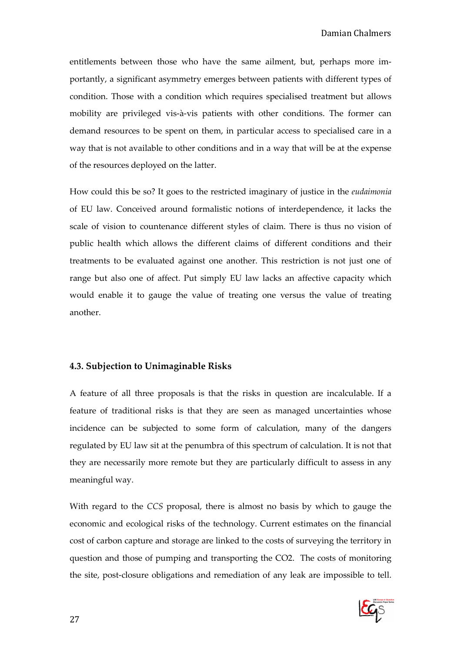entitlements between those who have the same ailment, but, perhaps more importantly, a significant asymmetry emerges between patients with different types of condition. Those with a condition which requires specialised treatment but allows mobility are privileged vis-à-vis patients with other conditions. The former can demand resources to be spent on them, in particular access to specialised care in a way that is not available to other conditions and in a way that will be at the expense of the resources deployed on the latter.

How could this be so? It goes to the restricted imaginary of justice in the eudaimonia of EU law. Conceived around formalistic notions of interdependence, it lacks the scale of vision to countenance different styles of claim. There is thus no vision of public health which allows the different claims of different conditions and their treatments to be evaluated against one another. This restriction is not just one of range but also one of affect. Put simply EU law lacks an affective capacity which would enable it to gauge the value of treating one versus the value of treating another.

#### 4.3. Subjection to Unimaginable Risks

A feature of all three proposals is that the risks in question are incalculable. If a feature of traditional risks is that they are seen as managed uncertainties whose incidence can be subjected to some form of calculation, many of the dangers regulated by EU law sit at the penumbra of this spectrum of calculation. It is not that they are necessarily more remote but they are particularly difficult to assess in any meaningful way.

With regard to the CCS proposal, there is almost no basis by which to gauge the economic and ecological risks of the technology. Current estimates on the financial cost of carbon capture and storage are linked to the costs of surveying the territory in question and those of pumping and transporting the CO2. The costs of monitoring the site, post-closure obligations and remediation of any leak are impossible to tell.

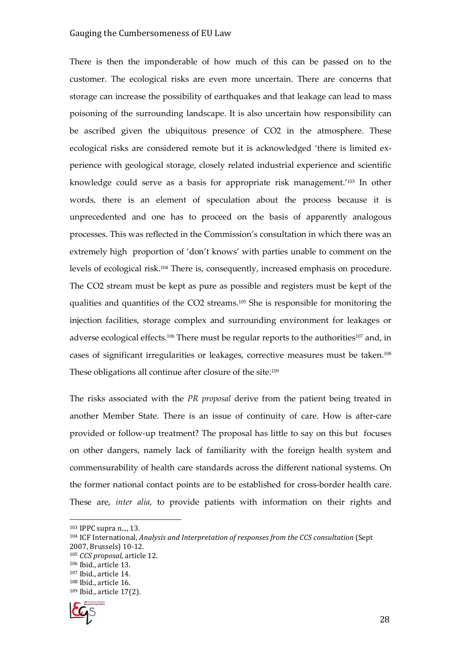There is then the imponderable of how much of this can be passed on to the customer. The ecological risks are even more uncertain. There are concerns that storage can increase the possibility of earthquakes and that leakage can lead to mass poisoning of the surrounding landscape. It is also uncertain how responsibility can be ascribed given the ubiquitous presence of CO2 in the atmosphere. These ecological risks are considered remote but it is acknowledged 'there is limited experience with geological storage, closely related industrial experience and scientific knowledge could serve as a basis for appropriate risk management.'103 In other words, there is an element of speculation about the process because it is unprecedented and one has to proceed on the basis of apparently analogous processes. This was reflected in the Commission's consultation in which there was an extremely high proportion of 'don't knows' with parties unable to comment on the levels of ecological risk.104 There is, consequently, increased emphasis on procedure. The CO2 stream must be kept as pure as possible and registers must be kept of the qualities and quantities of the CO2 streams.105 She is responsible for monitoring the injection facilities, storage complex and surrounding environment for leakages or adverse ecological effects.<sup>106</sup> There must be regular reports to the authorities<sup>107</sup> and, in cases of significant irregularities or leakages, corrective measures must be taken.<sup>108</sup> These obligations all continue after closure of the site.<sup>109</sup>

The risks associated with the PR proposal derive from the patient being treated in another Member State. There is an issue of continuity of care. How is after-care provided or follow-up treatment? The proposal has little to say on this but focuses on other dangers, namely lack of familiarity with the foreign health system and commensurability of health care standards across the different national systems. On the former national contact points are to be established for cross-border health care. These are, inter alia, to provide patients with information on their rights and

<sup>109</sup> Ibid., article 17(2).



<sup>103</sup> IPPC supra n..., 13.

<sup>104</sup> ICF International, Analysis and Interpretation of responses from the CCS consultation (Sept 2007, Brussels) 10-12.

<sup>105</sup> CCS proposal, article 12.

<sup>106</sup> Ibid., article 13.

<sup>107</sup> Ibid., article 14.

<sup>108</sup> Ibid., article 16.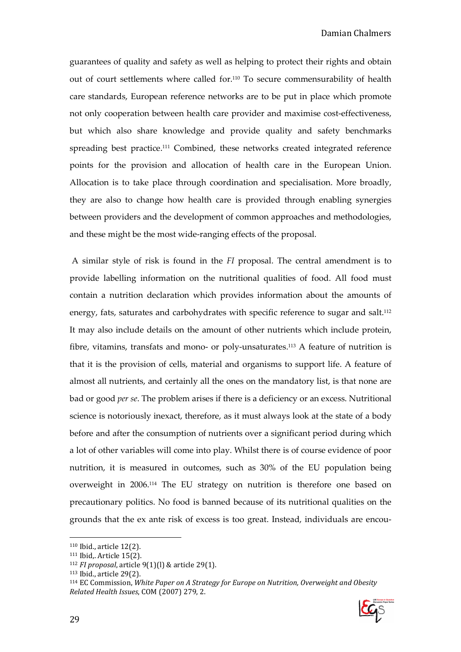guarantees of quality and safety as well as helping to protect their rights and obtain out of court settlements where called for.110 To secure commensurability of health care standards, European reference networks are to be put in place which promote not only cooperation between health care provider and maximise cost-effectiveness, but which also share knowledge and provide quality and safety benchmarks spreading best practice.<sup>111</sup> Combined, these networks created integrated reference points for the provision and allocation of health care in the European Union. Allocation is to take place through coordination and specialisation. More broadly, they are also to change how health care is provided through enabling synergies between providers and the development of common approaches and methodologies, and these might be the most wide-ranging effects of the proposal.

 A similar style of risk is found in the FI proposal. The central amendment is to provide labelling information on the nutritional qualities of food. All food must contain a nutrition declaration which provides information about the amounts of energy, fats, saturates and carbohydrates with specific reference to sugar and salt.<sup>112</sup> It may also include details on the amount of other nutrients which include protein, fibre, vitamins, transfats and mono- or poly-unsaturates.113 A feature of nutrition is that it is the provision of cells, material and organisms to support life. A feature of almost all nutrients, and certainly all the ones on the mandatory list, is that none are bad or good *per se*. The problem arises if there is a deficiency or an excess. Nutritional science is notoriously inexact, therefore, as it must always look at the state of a body before and after the consumption of nutrients over a significant period during which a lot of other variables will come into play. Whilst there is of course evidence of poor nutrition, it is measured in outcomes, such as 30% of the EU population being overweight in 2006.114 The EU strategy on nutrition is therefore one based on precautionary politics. No food is banned because of its nutritional qualities on the grounds that the ex ante risk of excess is too great. Instead, individuals are encou-

 $114$  EC Commission, White Paper on A Strategy for Europe on Nutrition, Overweight and Obesity Related Health Issues, COM (2007) 279, 2.



<sup>110</sup> Ibid., article 12(2).

<sup>111</sup> Ibid,. Article 15(2).

 $112$  FI proposal, article 9(1)(l) & article 29(1).

<sup>113</sup> Ibid., article 29(2).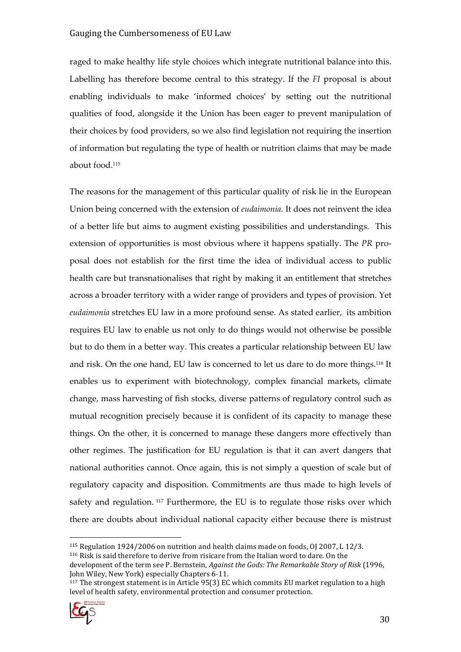raged to make healthy life style choices which integrate nutritional balance into this. Labelling has therefore become central to this strategy. If the FI proposal is about enabling individuals to make 'informed choices' by setting out the nutritional qualities of food, alongside it the Union has been eager to prevent manipulation of their choices by food providers, so we also find legislation not requiring the insertion of information but regulating the type of health or nutrition claims that may be made about food.<sup>115</sup>

The reasons for the management of this particular quality of risk lie in the European Union being concerned with the extension of eudaimonia. It does not reinvent the idea of a better life but aims to augment existing possibilities and understandings. This extension of opportunities is most obvious where it happens spatially. The PR proposal does not establish for the first time the idea of individual access to public health care but transnationalises that right by making it an entitlement that stretches across a broader territory with a wider range of providers and types of provision. Yet eudaimonia stretches EU law in a more profound sense. As stated earlier, its ambition requires EU law to enable us not only to do things would not otherwise be possible but to do them in a better way. This creates a particular relationship between EU law and risk. On the one hand, EU law is concerned to let us dare to do more things.116 It enables us to experiment with biotechnology, complex financial markets, climate change, mass harvesting of fish stocks, diverse patterns of regulatory control such as mutual recognition precisely because it is confident of its capacity to manage these things. On the other, it is concerned to manage these dangers more effectively than other regimes. The justification for EU regulation is that it can avert dangers that national authorities cannot. Once again, this is not simply a question of scale but of regulatory capacity and disposition. Commitments are thus made to high levels of safety and regulation.<sup>117</sup> Furthermore, the EU is to regulate those risks over which there are doubts about individual national capacity either because there is mistrust

<sup>&</sup>lt;sup>117</sup> The strongest statement is in Article 95(3) EC which commits EU market regulation to a high level of health safety, environmental protection and consumer protection.



 $\overline{a}$ <sup>115</sup> Regulation 1924/2006 on nutrition and health claims made on foods, OJ 2007, L 12/3.

<sup>116</sup> Risk is said therefore to derive from risicare from the Italian word to dare. On the development of the term see P. Bernstein, *Against the Gods: The Remarkable Story of Risk* (1996, John Wiley, New York) especially Chapters 6-11.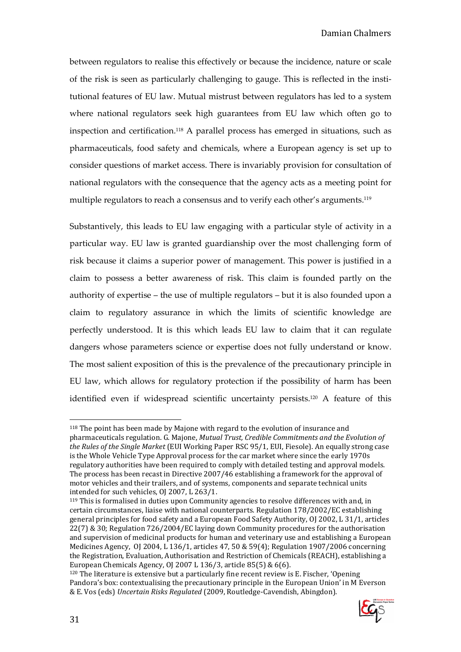between regulators to realise this effectively or because the incidence, nature or scale of the risk is seen as particularly challenging to gauge. This is reflected in the institutional features of EU law. Mutual mistrust between regulators has led to a system where national regulators seek high guarantees from EU law which often go to inspection and certification.118 A parallel process has emerged in situations, such as pharmaceuticals, food safety and chemicals, where a European agency is set up to consider questions of market access. There is invariably provision for consultation of national regulators with the consequence that the agency acts as a meeting point for multiple regulators to reach a consensus and to verify each other's arguments.<sup>119</sup>

Substantively, this leads to EU law engaging with a particular style of activity in a particular way. EU law is granted guardianship over the most challenging form of risk because it claims a superior power of management. This power is justified in a claim to possess a better awareness of risk. This claim is founded partly on the authority of expertise – the use of multiple regulators – but it is also founded upon a claim to regulatory assurance in which the limits of scientific knowledge are perfectly understood. It is this which leads EU law to claim that it can regulate dangers whose parameters science or expertise does not fully understand or know. The most salient exposition of this is the prevalence of the precautionary principle in EU law, which allows for regulatory protection if the possibility of harm has been identified even if widespread scientific uncertainty persists.120 A feature of this

<sup>120</sup> The literature is extensive but a particularly fine recent review is E. Fischer, 'Opening Pandora's box: contextualising the precautionary principle in the European Union' in M Everson & E. Vos (eds) Uncertain Risks Regulated (2009, Routledge-Cavendish, Abingdon).



<sup>118</sup> The point has been made by Majone with regard to the evolution of insurance and pharmaceuticals regulation. G. Majone, Mutual Trust, Credible Commitments and the Evolution of the Rules of the Single Market (EUI Working Paper RSC 95/1, EUI, Fiesole). An equally strong case is the Whole Vehicle Type Approval process for the car market where since the early 1970s regulatory authorities have been required to comply with detailed testing and approval models. The process has been recast in Directive 2007/46 establishing a framework for the approval of motor vehicles and their trailers, and of systems, components and separate technical units intended for such vehicles, OJ 2007, L 263/1.

<sup>119</sup> This is formalised in duties upon Community agencies to resolve differences with and, in certain circumstances, liaise with national counterparts. Regulation 178/2002/EC establishing general principles for food safety and a European Food Safety Authority, OJ 2002, L 31/1, articles 22(7) & 30; Regulation 726/2004/EC laying down Community procedures for the authorisation and supervision of medicinal products for human and veterinary use and establishing a European Medicines Agency, OJ 2004, L 136/1, articles 47, 50 & 59(4); Regulation 1907/2006 concerning the Registration, Evaluation, Authorisation and Restriction of Chemicals (REACH), establishing a European Chemicals Agency, OJ 2007 L 136/3, article 85(5) & 6(6).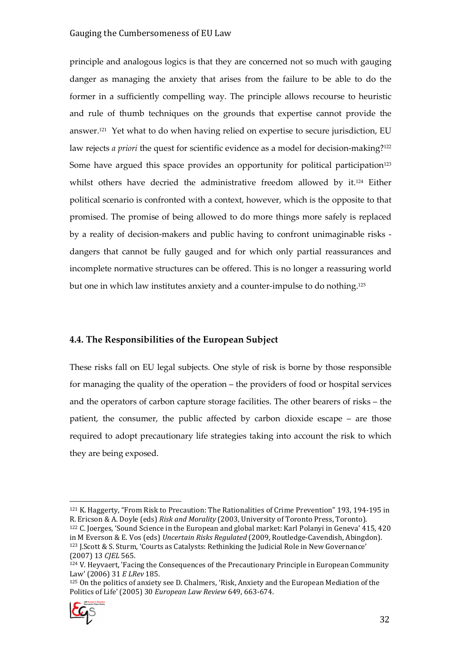principle and analogous logics is that they are concerned not so much with gauging danger as managing the anxiety that arises from the failure to be able to do the former in a sufficiently compelling way. The principle allows recourse to heuristic and rule of thumb techniques on the grounds that expertise cannot provide the answer.121 Yet what to do when having relied on expertise to secure jurisdiction, EU law rejects *a priori* the quest for scientific evidence as a model for decision-making?<sup>122</sup> Some have argued this space provides an opportunity for political participation<sup>123</sup> whilst others have decried the administrative freedom allowed by it.124 Either political scenario is confronted with a context, however, which is the opposite to that promised. The promise of being allowed to do more things more safely is replaced by a reality of decision-makers and public having to confront unimaginable risks dangers that cannot be fully gauged and for which only partial reassurances and incomplete normative structures can be offered. This is no longer a reassuring world but one in which law institutes anxiety and a counter-impulse to do nothing.<sup>125</sup>

#### 4.4. The Responsibilities of the European Subject

These risks fall on EU legal subjects. One style of risk is borne by those responsible for managing the quality of the operation – the providers of food or hospital services and the operators of carbon capture storage facilities. The other bearers of risks – the patient, the consumer, the public affected by carbon dioxide escape – are those required to adopt precautionary life strategies taking into account the risk to which they are being exposed.

<sup>125</sup> On the politics of anxiety see D. Chalmers, 'Risk, Anxiety and the European Mediation of the Politics of Life' (2005) 30 European Law Review 649, 663-674.



<sup>121</sup> K. Haggerty, "From Risk to Precaution: The Rationalities of Crime Prevention" 193, 194-195 in R. Ericson & A. Doyle (eds) Risk and Morality (2003, University of Toronto Press, Toronto).

<sup>122</sup> C. Joerges, 'Sound Science in the European and global market: Karl Polanyi in Geneva' 415, 420 in M Everson & E. Vos (eds) Uncertain Risks Regulated (2009, Routledge-Cavendish, Abingdon). <sup>123</sup> J.Scott & S. Sturm, 'Courts as Catalysts: Rethinking the Judicial Role in New Governance' (2007) 13 CJEL 565.

 $124$  V. Heyvaert, 'Facing the Consequences of the Precautionary Principle in European Community Law' (2006) 31 E LRev 185.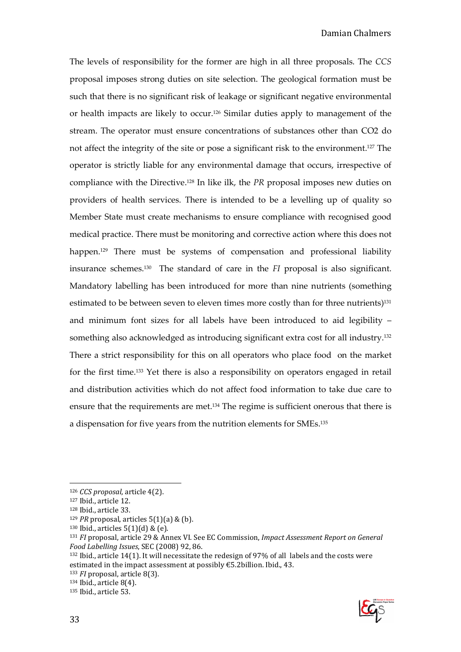The levels of responsibility for the former are high in all three proposals. The CCS proposal imposes strong duties on site selection. The geological formation must be such that there is no significant risk of leakage or significant negative environmental or health impacts are likely to occur.126 Similar duties apply to management of the stream. The operator must ensure concentrations of substances other than CO2 do not affect the integrity of the site or pose a significant risk to the environment.127 The operator is strictly liable for any environmental damage that occurs, irrespective of compliance with the Directive.128 In like ilk, the PR proposal imposes new duties on providers of health services. There is intended to be a levelling up of quality so Member State must create mechanisms to ensure compliance with recognised good medical practice. There must be monitoring and corrective action where this does not happen.<sup>129</sup> There must be systems of compensation and professional liability insurance schemes.130 The standard of care in the FI proposal is also significant. Mandatory labelling has been introduced for more than nine nutrients (something estimated to be between seven to eleven times more costly than for three nutrients)<sup>131</sup> and minimum font sizes for all labels have been introduced to aid legibility – something also acknowledged as introducing significant extra cost for all industry.<sup>132</sup> There a strict responsibility for this on all operators who place food on the market for the first time.133 Yet there is also a responsibility on operators engaged in retail and distribution activities which do not affect food information to take due care to ensure that the requirements are met.134 The regime is sufficient onerous that there is a dispensation for five years from the nutrition elements for SMEs.<sup>135</sup>

<sup>133</sup> FI proposal, article 8(3).

<sup>134</sup> Ibid., article 8(4). 135 Ibid., article 53.



<sup>126</sup> CCS proposal, article 4(2).

<sup>127</sup> Ibid., article 12.

<sup>128</sup> Ibid., article 33.

 $129$  PR proposal, articles 5(1)(a) & (b).

 $130$  Ibid., articles  $5(1)(d)$  & (e).

<sup>131</sup> FI proposal, article 29 & Annex VI. See EC Commission, Impact Assessment Report on General Food Labelling Issues, SEC (2008) 92, 86.

<sup>132</sup> Ibid., article 14(1). It will necessitate the redesign of 97% of all labels and the costs were estimated in the impact assessment at possibly €5.2billion. Ibid., 43.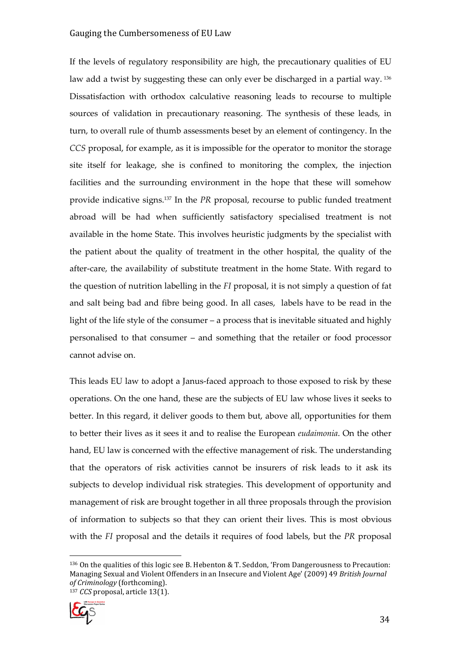If the levels of regulatory responsibility are high, the precautionary qualities of EU law add a twist by suggesting these can only ever be discharged in a partial way.<sup>136</sup> Dissatisfaction with orthodox calculative reasoning leads to recourse to multiple sources of validation in precautionary reasoning. The synthesis of these leads, in turn, to overall rule of thumb assessments beset by an element of contingency. In the CCS proposal, for example, as it is impossible for the operator to monitor the storage site itself for leakage, she is confined to monitoring the complex, the injection facilities and the surrounding environment in the hope that these will somehow provide indicative signs.137 In the PR proposal, recourse to public funded treatment abroad will be had when sufficiently satisfactory specialised treatment is not available in the home State. This involves heuristic judgments by the specialist with the patient about the quality of treatment in the other hospital, the quality of the after-care, the availability of substitute treatment in the home State. With regard to the question of nutrition labelling in the FI proposal, it is not simply a question of fat and salt being bad and fibre being good. In all cases, labels have to be read in the light of the life style of the consumer – a process that is inevitable situated and highly personalised to that consumer – and something that the retailer or food processor cannot advise on.

This leads EU law to adopt a Janus-faced approach to those exposed to risk by these operations. On the one hand, these are the subjects of EU law whose lives it seeks to better. In this regard, it deliver goods to them but, above all, opportunities for them to better their lives as it sees it and to realise the European eudaimonia. On the other hand, EU law is concerned with the effective management of risk. The understanding that the operators of risk activities cannot be insurers of risk leads to it ask its subjects to develop individual risk strategies. This development of opportunity and management of risk are brought together in all three proposals through the provision of information to subjects so that they can orient their lives. This is most obvious with the FI proposal and the details it requires of food labels, but the PR proposal

 $136$  On the qualities of this logic see B. Hebenton & T. Seddon, 'From Dangerousness to Precaution: Managing Sexual and Violent Offenders in an Insecure and Violent Age' (2009) 49 British Journal of Criminology (forthcoming).  $137$  CCS proposal, article 13(1).

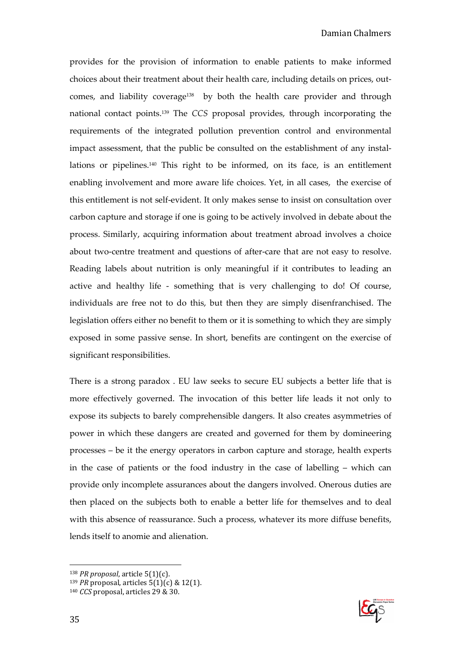provides for the provision of information to enable patients to make informed choices about their treatment about their health care, including details on prices, outcomes, and liability coverage<sup>138</sup> by both the health care provider and through national contact points.139 The CCS proposal provides, through incorporating the requirements of the integrated pollution prevention control and environmental impact assessment, that the public be consulted on the establishment of any installations or pipelines.<sup>140</sup> This right to be informed, on its face, is an entitlement enabling involvement and more aware life choices. Yet, in all cases, the exercise of this entitlement is not self-evident. It only makes sense to insist on consultation over carbon capture and storage if one is going to be actively involved in debate about the process. Similarly, acquiring information about treatment abroad involves a choice about two-centre treatment and questions of after-care that are not easy to resolve. Reading labels about nutrition is only meaningful if it contributes to leading an active and healthy life - something that is very challenging to do! Of course, individuals are free not to do this, but then they are simply disenfranchised. The legislation offers either no benefit to them or it is something to which they are simply exposed in some passive sense. In short, benefits are contingent on the exercise of significant responsibilities.

There is a strong paradox . EU law seeks to secure EU subjects a better life that is more effectively governed. The invocation of this better life leads it not only to expose its subjects to barely comprehensible dangers. It also creates asymmetries of power in which these dangers are created and governed for them by domineering processes – be it the energy operators in carbon capture and storage, health experts in the case of patients or the food industry in the case of labelling – which can provide only incomplete assurances about the dangers involved. Onerous duties are then placed on the subjects both to enable a better life for themselves and to deal with this absence of reassurance. Such a process, whatever its more diffuse benefits, lends itself to anomie and alienation.



 $138$  *PR proposal*, article 5(1)(c).

<sup>&</sup>lt;sup>139</sup> *PR* proposal, articles  $5(1)(c)$  & 12(1).

<sup>&</sup>lt;sup>140</sup> CCS proposal, articles 29 & 30.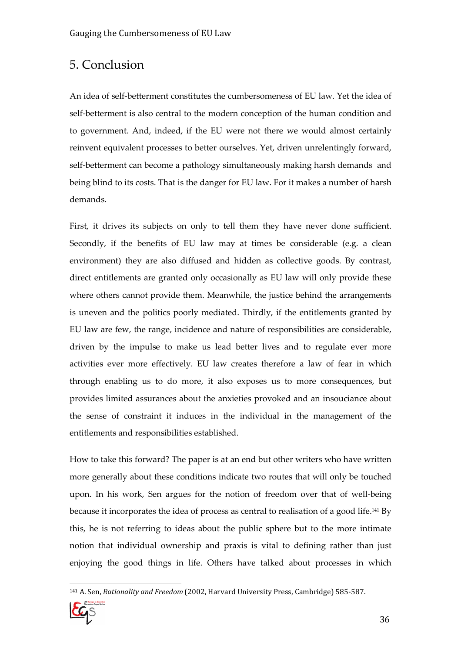### 5. Conclusion

An idea of self-betterment constitutes the cumbersomeness of EU law. Yet the idea of self-betterment is also central to the modern conception of the human condition and to government. And, indeed, if the EU were not there we would almost certainly reinvent equivalent processes to better ourselves. Yet, driven unrelentingly forward, self-betterment can become a pathology simultaneously making harsh demands and being blind to its costs. That is the danger for EU law. For it makes a number of harsh demands.

First, it drives its subjects on only to tell them they have never done sufficient. Secondly, if the benefits of EU law may at times be considerable (e.g. a clean environment) they are also diffused and hidden as collective goods. By contrast, direct entitlements are granted only occasionally as EU law will only provide these where others cannot provide them. Meanwhile, the justice behind the arrangements is uneven and the politics poorly mediated. Thirdly, if the entitlements granted by EU law are few, the range, incidence and nature of responsibilities are considerable, driven by the impulse to make us lead better lives and to regulate ever more activities ever more effectively. EU law creates therefore a law of fear in which through enabling us to do more, it also exposes us to more consequences, but provides limited assurances about the anxieties provoked and an insouciance about the sense of constraint it induces in the individual in the management of the entitlements and responsibilities established.

How to take this forward? The paper is at an end but other writers who have written more generally about these conditions indicate two routes that will only be touched upon. In his work, Sen argues for the notion of freedom over that of well-being because it incorporates the idea of process as central to realisation of a good life.141 By this, he is not referring to ideas about the public sphere but to the more intimate notion that individual ownership and praxis is vital to defining rather than just enjoying the good things in life. Others have talked about processes in which

 $\overline{a}$ 141 A. Sen, Rationality and Freedom (2002, Harvard University Press, Cambridge) 585-587.

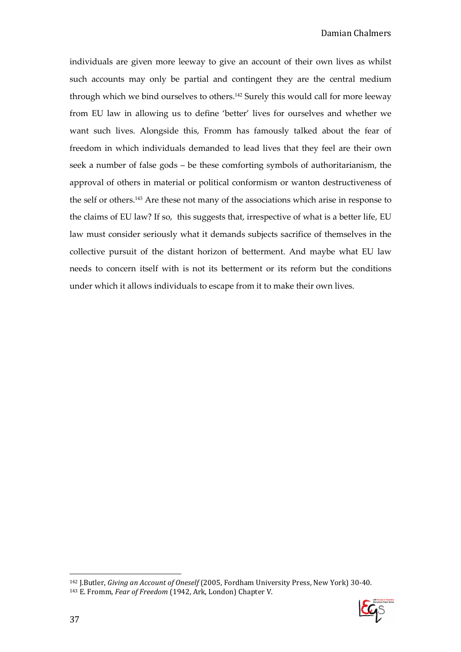individuals are given more leeway to give an account of their own lives as whilst such accounts may only be partial and contingent they are the central medium through which we bind ourselves to others.142 Surely this would call for more leeway from EU law in allowing us to define 'better' lives for ourselves and whether we want such lives. Alongside this, Fromm has famously talked about the fear of freedom in which individuals demanded to lead lives that they feel are their own seek a number of false gods – be these comforting symbols of authoritarianism, the approval of others in material or political conformism or wanton destructiveness of the self or others.143 Are these not many of the associations which arise in response to the claims of EU law? If so, this suggests that, irrespective of what is a better life, EU law must consider seriously what it demands subjects sacrifice of themselves in the collective pursuit of the distant horizon of betterment. And maybe what EU law needs to concern itself with is not its betterment or its reform but the conditions under which it allows individuals to escape from it to make their own lives.

 $\overline{a}$ <sup>142</sup> I.Butler, *Giving an Account of Oneself* (2005, Fordham University Press, New York) 30-40. 143 E. Fromm, Fear of Freedom (1942, Ark, London) Chapter V.

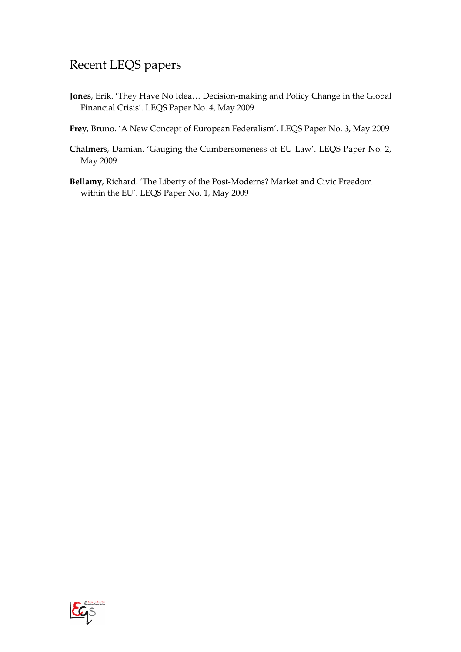## Recent LEQS papers

- Jones, Erik. 'They Have No Idea… Decision-making and Policy Change in the Global Financial Crisis'. LEQS Paper No. 4, May 2009
- Frey, Bruno. 'A New Concept of European Federalism'. LEQS Paper No. 3, May 2009
- Chalmers, Damian. 'Gauging the Cumbersomeness of EU Law'. LEQS Paper No. 2, May 2009
- Bellamy, Richard. 'The Liberty of the Post-Moderns? Market and Civic Freedom within the EU'. LEQS Paper No. 1, May 2009

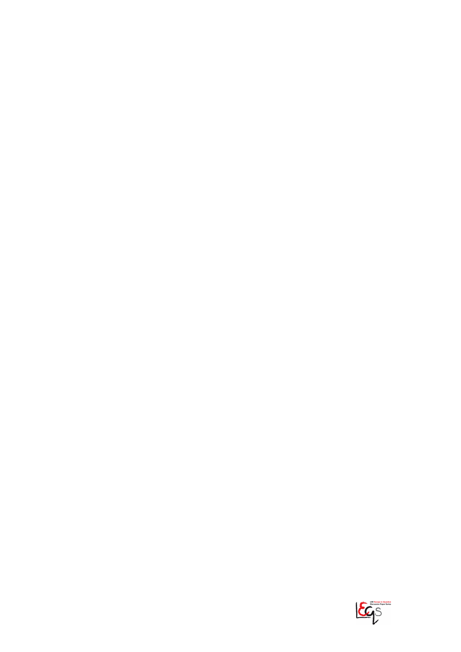